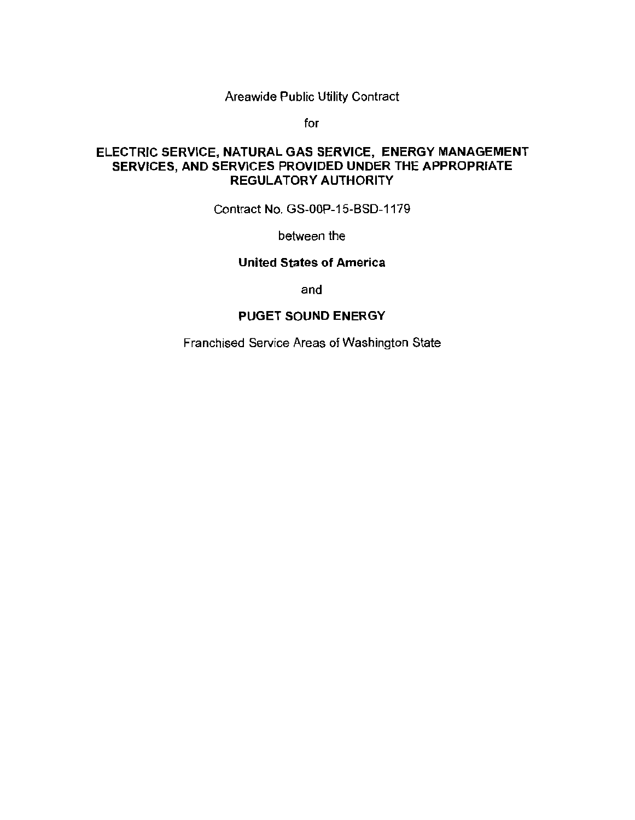Areawide Public Utility Contract

for

## ELECTRIC SERVICE, NATURAL GAS SERVICE, ENERGY MANAGEMENT SERVICES, AND SERVICES PROVIDED UNDER THE APPROPRIATE REGULATORY AUTHORITY

Contract No. GS-OOP-15-BSD-1179

between the

#### United States of America

and

#### PUGET SOUND ENERGY

Franchised Service Areas of Washington State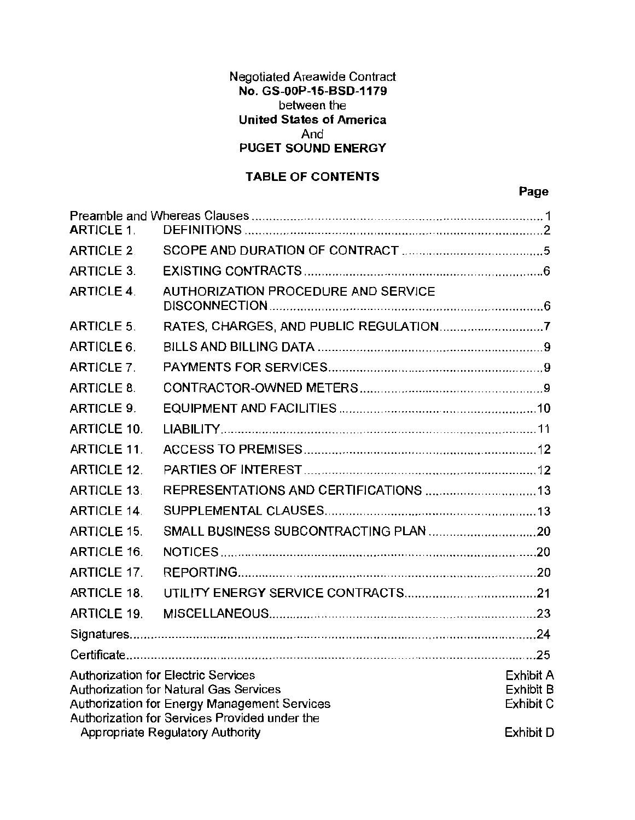## Negotiated Areawide Contract No. GS-OOP-15-BSD-1179 between the United States of America And PUGET SOUND ENERGY

# TABLE OF CONTENTS

## Page

| <b>ARTICLE 1.</b>                                                                                                            |                                     |  |
|------------------------------------------------------------------------------------------------------------------------------|-------------------------------------|--|
| <b>ARTICLE 2.</b>                                                                                                            |                                     |  |
| <b>ARTICLE 3.</b>                                                                                                            |                                     |  |
| <b>ARTICLE 4.</b>                                                                                                            | AUTHORIZATION PROCEDURE AND SERVICE |  |
| <b>ARTICLE 5.</b>                                                                                                            |                                     |  |
| ARTICLE 6.                                                                                                                   |                                     |  |
| <b>ARTICLE 7.</b>                                                                                                            |                                     |  |
| ARTICLE 8.                                                                                                                   |                                     |  |
| <b>ARTICLE 9.</b>                                                                                                            |                                     |  |
| <b>ARTICLE 10.</b>                                                                                                           |                                     |  |
| <b>ARTICLE 11.</b>                                                                                                           |                                     |  |
| <b>ARTICLE 12.</b>                                                                                                           |                                     |  |
| <b>ARTICLE 13.</b>                                                                                                           |                                     |  |
| <b>ARTICLE 14.</b>                                                                                                           |                                     |  |
| <b>ARTICLE 15.</b>                                                                                                           |                                     |  |
| <b>ARTICLE 16.</b>                                                                                                           |                                     |  |
| <b>ARTICLE 17.</b>                                                                                                           |                                     |  |
| <b>ARTICLE 18.</b>                                                                                                           |                                     |  |
| <b>ARTICLE 19.</b>                                                                                                           |                                     |  |
|                                                                                                                              |                                     |  |
|                                                                                                                              |                                     |  |
| <b>Authorization for Electric Services</b><br>Exhibit A<br><b>Authorization for Natural Gas Services</b><br><b>Exhibit B</b> |                                     |  |
| Authorization for Energy Management Services<br>Exhibit C<br>Authorization for Services Provided under the                   |                                     |  |
| Appropriate Regulatory Authority<br>Exhibit D                                                                                |                                     |  |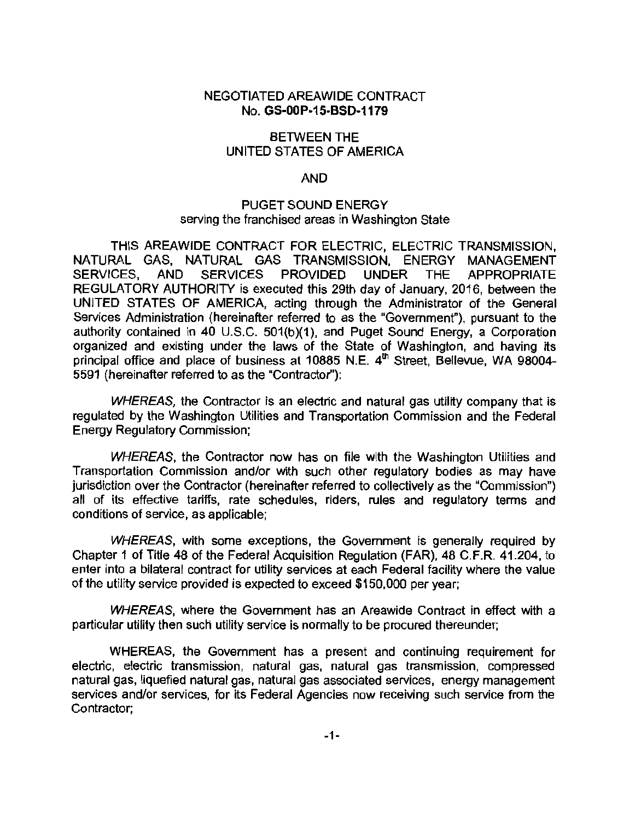#### NEGOTIATED AREAWIDE CONTRACT No. GS-OOP-15-BSD-1179

#### BETWEEN THE UNITED STATES OF AMERICA

#### AND

#### PUGET SOUND ENERGY serving the franchised areas in Washington State

THIS AREAWIDE CONTRACT FOR ELECTRIC, ELECTRIC TRANSMISSION, NATURAL GAS, NATURAL GAS TRANSMISSION, ENERGY MANAGEMENT SERVICES, AND SERVICES PROVIDED UNDER THE APPROPRIATE REGULATORY AUTHORITY is executed this 29th day of January, 2016, between the UNITED STATES OF AMERICA, acting through the Administrator of the General Services Administration (hereinafter referred to as the "Government"), pursuant to the authority contained in 40 U.S.C. 501(b)(1 ), and Puget Sound Energy, a Corporation organized and existing under the laws of the State of Washington, and having its principal office and place of business at 10885 N.E.  $4<sup>th</sup>$  Street, Bellevue, WA 98004-5591 (hereinafter referred to as the "Contractor''):

WHEREAS, the Contractor is an electric and natural gas utility company that is regulated by the Washington Utilities and Transportation Commission and the Federal Energy Regulatory Commission;

WHEREAS, the Contractor now has on file with the Washington Utilities and Transportation Commission and/or with such other regulatory bodies as may have jurisdiction over the Contractor (hereinafter referred to collectively as the "Commission") all of its effective tariffs, rate schedules, riders, rules and regulatory terms and conditions of service, as applicable;

WHEREAS, with some exceptions, the Government is generally required by Chapter 1 of Title 48 of the Federal Acquisition Regulation (FAR), 48 C.F.R. 41.204, to enter into a bilateral contract for utility services at each Federal facility where the value of the utility service provided is expected to exceed \$150,000 per year;

WHEREAS, where the Government has an Areawide Contract in effect with a particular utility then such utility service is normally to be procured thereunder;

WHEREAS, the Government has a present and continuing requirement for electric, electric transmission, natural gas, natural gas transmission, compressed natural gas, liquefied natural gas, natural gas associated services, energy management services and/or services, for its Federal Agencies now receiving such service from the Contractor;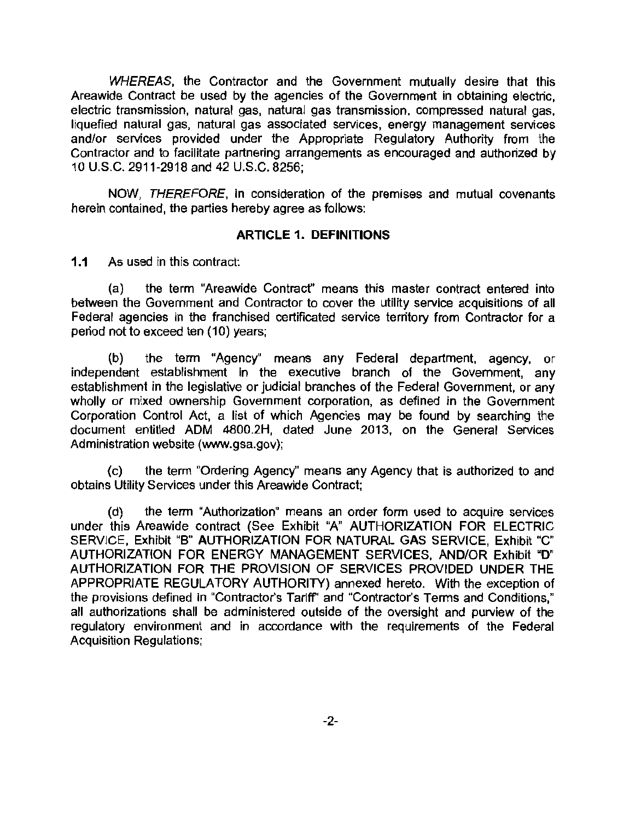WHEREAS, the Contractor and the Government mutually desire that this Areawide Contract be used by the agencies of the Government in obtaining electric, electric transmission, natural gas, natural gas transmission, compressed natural gas, liquefied natural gas, natural gas associated services, energy management services and/or services provided under the Appropriate Regulatory Authority from the Contractor and to facilitate partnering arrangements as encouraged and authorized by 10 U.S.C. 2911-2918 and 42 U.S.C. 8256;

NOW, THEREFORE, in consideration of the premises and mutual covenants herein contained, the parties hereby agree as follows:

#### ARTICLE 1. DEFINITIONS

1.1 As used in this contract:

(a) the term "Areawide Contract" means this master contract entered into between the Government and Contractor to cover the utility service acquisitions of all Federal agencies in the franchised certificated service territory from Contractor for a period not to exceed ten (10) years;

(b) the term "Agency" means any Federal department, agency, or independent establishment in the executive branch of the Government, any establishment in the legislative or judicial branches of the Federal Government, or any wholly or mixed ownership Government corporation, as defined in the Government Corporation Control Act, a list of which Agencies may be found by searching the document entitled ADM 4800.2H, dated June 2013, on the General Services Administration website (www.gsa.gov);

(c) the term "Ordering Agency" means any Agency that is authorized to and obtains Utility Services under this Areawide Contract;

(d) the term "Authorization" means an order form used to acquire services under this Areawide contract (See Exhibit "A" AUTHORIZATION FOR ELECTRIC SERVICE, Exhibit "B" AUTHORIZATION FOR NATURAL GAS SERVICE, Exhibit "C" AUTHORIZATION FOR ENERGY MANAGEMENT SERVICES, AND/OR Exhibit "D" AUTHORIZATION FOR THE PROVISION OF SERVICES PROVIDED UNDER THE APPROPRIATE REGULATORY AUTHORITY) annexed hereto. With the exception of the provisions defined in "Contractor's Tariff' and "Contractor's Terms and Conditions," all authorizations shall be administered outside of the oversight and purview of the regulatory environment and in accordance with the requirements of the Federal Acquisition Regulations;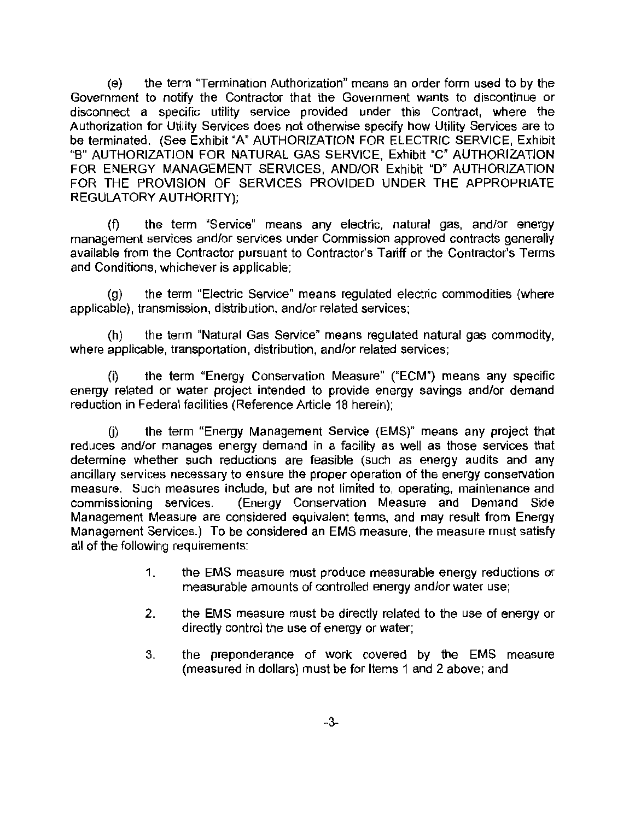(e) the term "Termination Authorization" means an order form used to by the Government to notify the Contractor that the Government wants to discontinue or disconnect a specific utility service provided under this Contract, where the Authorization for Utility Services does not otherwise specify how Utility Services are to be terminated. (See Exhibit "A" AUTHORIZATION FOR ELECTRIC SERVICE, Exhibit "B" AUTHORIZATION FOR NATURAL GAS SERVICE, Exhibit "C" AUTHORIZATION FOR ENERGY MANAGEMENT SERVICES, AND/OR Exhibit "D" AUTHORIZATION FOR THE PROVISION OF SERVICES PROVIDED UNDER THE APPROPRIATE REGULATORY AUTHORITY);

(f) the term "Service" means any electric, natural gas, and/or energy management services and/or services under Commission approved contracts generally available from the Contractor pursuant to Contractor's Tariff or the Contractor's Terms and Conditions, whichever is applicable;

(g) the term "Electric Service" means regulated electric commodities (where applicable), transmission, distribution, and/or related services;

(h) the term "Natural Gas Service" means regulated natural gas commodity, where applicable, transportation, distribution, and/or related services;

(i) the term "Energy Conservation Measure" ("ECM") means any specific energy related or water project intended to provide energy savings and/or demand reduction in Federal facilities (Reference Article 18 herein);

G) the term "Energy Management Service (EMS)" means any project that reduces and/or manages energy demand in a facility as well as those services that determine whether such reductions are feasible (such as energy audits and any ancillary services necessary to ensure the proper operation of the energy conservation measure. Such measures include, but are not limited to, operating, maintenance and commissioning services. (Energy Conservation Measure and Demand Side Management Measure are considered equivalent terms, and may result from Energy Management Services.) To be considered an EMS measure, the measure must satisfy all of the following requirements:

- 1. the EMS measure must produce measurable energy reductions or measurable amounts of controlled energy and/or water use;
- 2. the EMS measure must be directly related to the use of energy or directly control the use of energy or water;
- 3. the preponderance of work covered by the EMS measure (measured in dollars) must be for Items 1 and 2 above; and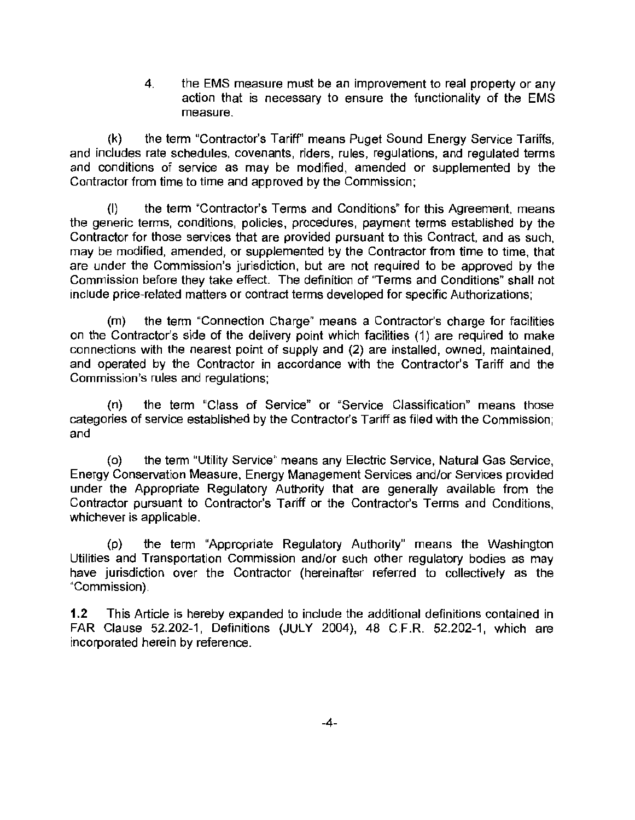4. the EMS measure must be an improvement to real property or any action that is necessary to ensure the functionality of the EMS measure.

(k) the term "Contractor's Tariff'' means Puget Sound Energy Service Tariffs, and includes rate schedules, covenants, riders, rules, regulations, and regulated terms and conditions of service as may be modified, amended or supplemented by the Contractor from time to time and approved by the Commission ;

(I) the term "Contractor's Terms and Conditions" for this Agreement, means the generic terms, conditions, policies, procedures, payment terms established by the Contractor for those services that are provided pursuant to this Contract, and as such, may be modified, amended, or supplemented by the Contractor from time to time, that are under the Commission's jurisdiction, but are not required to be approved by the Commission before they take effect. The definition of "Terms and Conditions" shall not include price-related matters or contract terms developed for specific Authorizations;

(m) the term "Connection Charge" means a Contractor's charge for facilities on the Contractor's side of the delivery point which facilities (1) are required to make connections with the nearest point of supply and (2) are installed, owned, maintained, and operated by the Contractor in accordance with the Contractor's Tariff and the Commission's rules and regulations;

(n) the term "Class of Service" or "Service Classification" means those categories of service established by the Contractor's Tariff as filed with the Commission ; and

(o) the term "Utility Service" means any Electric Service, Natural Gas Service, Energy Conservation Measure, Energy Management Services and/or Services provided under the Appropriate Regulatory Authority that are generally available from the Contractor pursuant to Contractor's Tariff or the Contractor's Terms and Conditions, whichever is applicable.

(p) the term "Appropriate Regulatory Authority" means the Washington Utilities and Transportation Commission and/or such other regulatory bodies as may have jurisdiction over the Contractor (hereinafter referred to collectively as the "Commission).

1.2 This Article is hereby expanded to include the additional definitions contained in FAR Clause 52.202-1, Definitions (JULY 2004), 48 C.F.R. 52.202-1, which are incorporated herein by reference.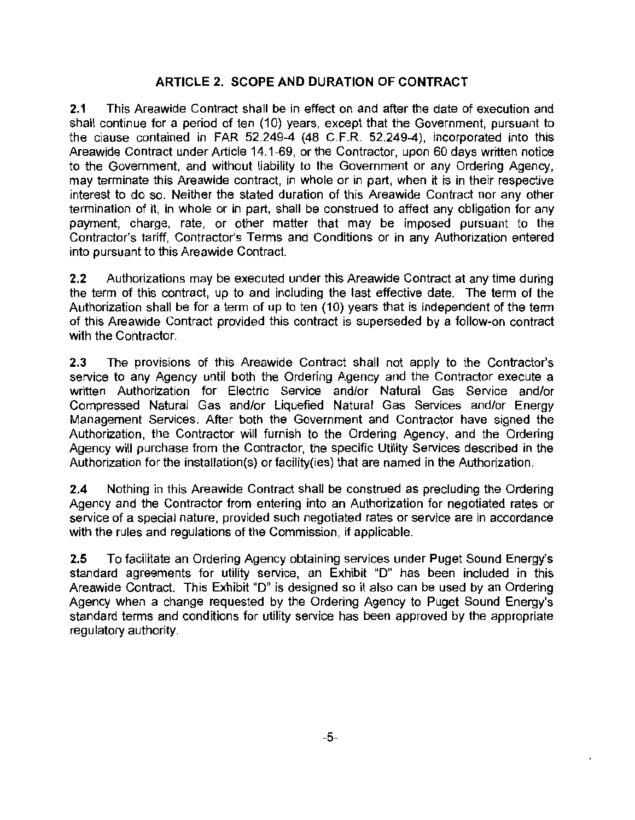## **ARTICLE 2. SCOPE AND DURATION OF CONTRACT**

**2.1** This Areawide Contract shall be in effect on and after the date of execution and shall continue for a period of ten (10) years, except that the Government, pursuant to the clause contained in FAR 52.249-4 (48 C.F.R 52.249-4), incorporated into this Areawide Contract under Article 14.1-69, or the Contractor, upon 60 days written notice to the Government, and without liability to the Government or any Ordering Agency, may terminate this Areawide contract, in whole or in part, when it is in their respective interest to do so. Neither the stated duration of this Areawide Contract nor any other termination of it, in whole or in part, shall be construed to affect any obligation for any payment, charge, rate, or other matter that may be imposed pursuant to the Contractor's tariff, Contractor's Terms and Conditions or in any Authorization entered into pursuant to this Areawide Contract.

2.2 Authorizations may be executed under this Areawide Contract at any time during the term of this contract, up to and including the last effective date. The term of the Authorization shall be for a term of up to ten (10) years that is independent of the term of this Areawide Contract provided this contract is superseded by a follow-on contract with the Contractor.

2.3 The provisions of this Areawide Contract shall not apply to the Contractor's service to any Agency until both the Ordering Agency and the Contractor execute a written Authorization for Electric Service and/or Natural Gas Service and/or Compressed Natural Gas and/or Liquefied Natural Gas Services and/or Energy Management Services. After both the Government and Contractor have signed the Authorization, the Contractor will furnish to the Ordering Agency, and the Ordering Agency will purchase from the Contractor, the specific Utility Services described in the Authorization for the installation(s) or facility(ies) that are named in the Authorization.

**2.4** Nothing in this Areawide Contract shall be construed as precluding the Ordering Agency and the Contractor from entering into an Authorization for negotiated rates or service of a special nature, provided such negotiated rates or service are in accordance with the rules and regulations of the Commission, if applicable.

**2.5** To facilitate an Ordering Agency obtaining services under Puget Sound Energy's standard agreements for utility service, an Exhibit "D" has been included in this Areawide Contract. This Exhibit "D" is designed so it also can be used by an Ordering Agency when a change requested by the Ordering Agency to Puget Sound Energy's standard terms and conditions for utility service has been approved by the appropriate regulatory authority.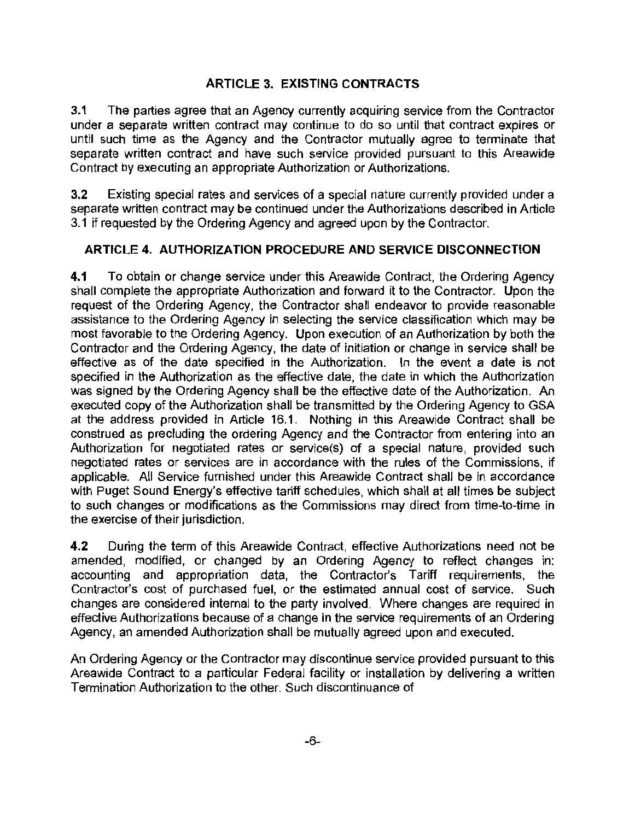# ARTICLE 3. EXISTING CONTRACTS

3.1 The parties agree that an Agency currently acquiring service from the Contractor under a separate written contract may continue to do so until that contract expires or until such time as the Agency and the Contractor mutually agree to terminate that separate written contract and have such service provided pursuant to this Areawide Contract by executing an appropriate Authorization or Authorizations.

3.2 Existing special rates and services of a special nature currently provided under a separate written contract may be continued under the Authorizations described in Article 3.1 if requested by the Ordering Agency and agreed upon by the Contractor.

## ARTICLE 4. AUTHORIZATION PROCEDURE AND SERVICE DISCONNECTION

4.1 To obtain or change service under this Areawide Contract, the Ordering Agency shall complete the appropriate Authorization and forward it to the Contractor. Upon the request of the Ordering Agency, the Contractor shall endeavor to provide reasonable assistance to the Ordering Agency in selecting the service classification which may be most favorable to the Ordering Agency. Upon execution of an Authorization by both the Contractor and the Ordering Agency, the date of initiation or change in service shall be effective as of the date specified in the Authorization. In the event a date is not specified in the Authorization as the effective date, the date in which the Authorization was signed by the Ordering Agency shall be the effective date of the Authorization. An executed copy of the Authorization shall be transmitted by the Ordering Agency to GSA at the address provided in Article 16.1 . Nothing in this Areawide Contract shall be construed as precluding the ordering Agency and the Contractor from entering into an Authorization for negotiated rates or service(s) of a special nature, provided such negotiated rates or services are in accordance with the rules of the Commissions, if applicable. All Service furnished under this Areawide Contract shall be in accordance with Puget Sound Energy's effective tariff schedules, which shall at all times be subject to such changes or modifications as the Commissions may direct from time-to-time in the exercise of their jurisdiction.

4.2 During the term of this Areawide Contract, effective Authorizations need not be amended, modified, or changed by an Ordering Agency to reflect changes in: accounting and appropriation data, the Contractor's Tariff requirements, the Contractor's cost of purchased fuel, or the estimated annual cost of service. Such changes are considered internal to the party involved. Where changes are required in effective Authorizations because of a change in the service requirements of an Ordering Agency, an amended Authorization shall be mutually agreed upon and executed.

An Ordering Agency or the Contractor may discontinue service provided pursuant to this Areawide Contract to a particular Federal facility or installation by delivering a written Termination Authorization to the other. Such discontinuance of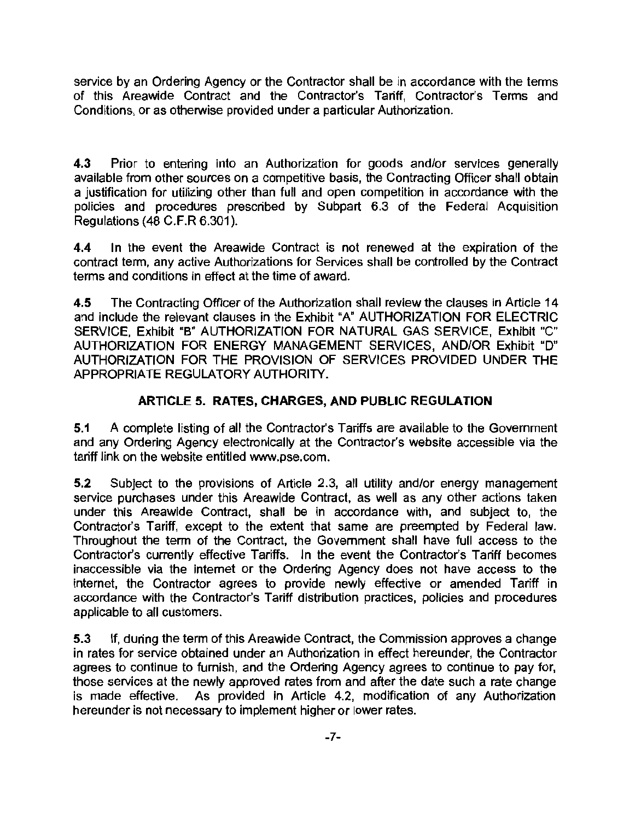service by an Ordering Agency or the Contractor shall be in accordance with the terms of this Areawide Contract and the Contractor's Tariff, Contractor's Terms and Conditions, or as otherwise provided under a particular Authorization.

4.3 Prior to entering into an Authorization for goods and/or services generally available from other sources on a competitive basis, the Contracting Officer shall obtain a justification for utilizing other than full and open competition in accordance with the policies and procedures prescribed by Subpart 6.3 of the Federal Acquisition Regulations (48 C.F.R 6.301 ).

4.4 In the event the Areawide Contract is not renewed at the expiration of the contract term, any active Authorizations for Services shall be controlled by the Contract terms and conditions in effect at the time of award.

4.5 The Contracting Officer of the Authorization shall review the clauses in Article 14 and include the relevant clauses in the Exhibit "A" AUTHORIZATION FOR ELECTRIC SERVICE, Exhibit "B" AUTHORIZATION FOR NATURAL GAS SERVICE, Exhibit "C" AUTHORIZATION FOR ENERGY MANAGEMENT SERVICES, AND/OR Exhibit "D" AUTHORIZATION FOR THE PROVISION OF SERVICES PROVIDED UNDER THE APPROPRIATE REGULATORY AUTHORITY.

# ARTICLE 5. RATES, CHARGES, AND PUBLIC REGULATION

5.1 A complete listing of all the Contractor's Tariffs are available to the Government and any Ordering Agency electronically at the Contractor's website accessible via the tariff link on the website entitled www.pse.com.

5.2 Subject to the provisions of Article 2.3, all utility and/or energy management service purchases under this Areawide Contract, as well as any other actions taken under this Areawide Contract, shall be in accordance with, and subject to, the Contractor's Tariff, except to the extent that same are preempted by Federal law. Throughout the term of the Contract, the Government shall have full access to the Contractor's currently effective Tariffs. In the event the Contractor's Tariff becomes inaccessible via the internet or the Ordering Agency does not have access to the internet, the Contractor agrees to provide newly effective or amended Tariff in accordance with the Contractor's Tariff distribution practices, policies and procedures applicable to all customers.

5.3 If, during the term of this Areawide Contract, the Commission approves a change in rates for service obtained under an Authorization in effect hereunder, the Contractor agrees to continue to furnish, and the Ordering Agency agrees to continue to pay for, those services at the newly approved rates from and after the date such a rate change is made effective. As provided in Article 4.2, modification of any Authorization hereunder is not necessary to implement higher or lower rates.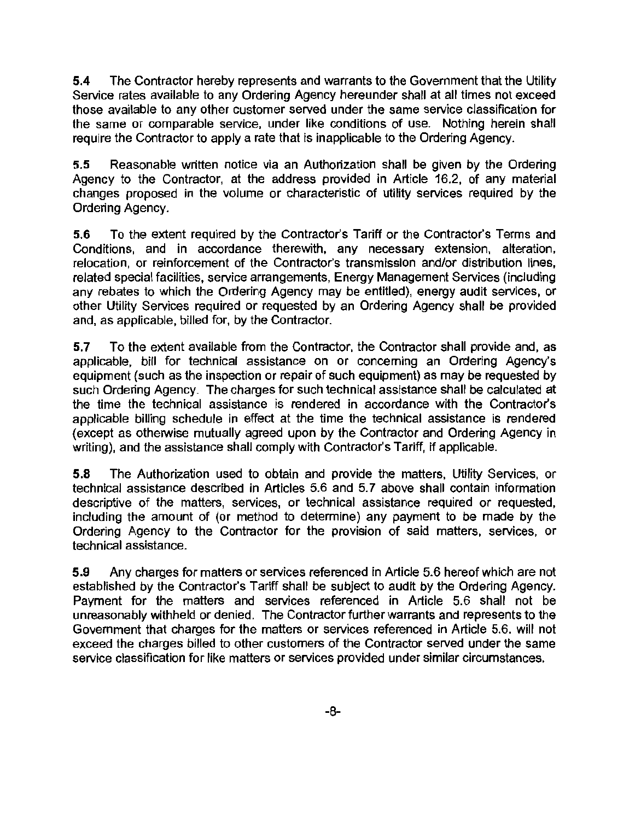5.4 The Contractor hereby represents and warrants to the Government that the Utility Service rates available to any Ordering Agency hereunder shall at all times not exceed those available to any other customer served under the same service classification for the same or comparable service, under like conditions of use. Nothing herein shall require the Contractor to apply a rate that is inapplicable to the Ordering Agency.

5.5 Reasonable written notice via an Authorization shall be given by the Ordering Agency to the Contractor, at the address provided in Article 16.2, of any material changes proposed in the volume or characteristic of utility services required by the Ordering Agency.

5.6 To the extent required by the Contractor's Tariff or the Contractor's Terms and Conditions, and in accordance therewith, any necessary extension, alteration, relocation, or reinforcement of the Contractor's transmission and/or distribution lines, related special facilities, service arrangements, Energy Management Services (including any rebates to which the Ordering Agency may be entitled), energy audit services, or other Utility Services required or requested by an Ordering Agency shall be provided and, as applicable, billed for, by the Contractor.

5.7 To the extent available from the Contractor, the Contractor shall provide and, as applicable, bill for technical assistance on or concerning an Ordering Agency's equipment (such as the inspection or repair of such equipment) as may be requested by such Ordering Agency. The charges for such technical assistance shall be calculated at the time the technical assistance is rendered in accordance with the Contractor's applicable billing schedule in effect at the time the technical assistance is rendered (except as otherwise mutually agreed upon by the Contractor and Ordering Agency in writing), and the assistance shall comply with Contractor's Tariff, if applicable.

5.8 The Authorization used to obtain and provide the matters, Utility Services, or technical assistance described in Articles 5.6 and 5.7 above shall contain information descriptive of the matters, services, or technical assistance required or requested, including the amount of (or method to determine) any payment to be made by the Ordering Agency to the Contractor for the provision of said matters, services, or technical assistance.

5.9 Any charges for matters or services referenced in Article 5.6 hereof which are not established by the Contractor's Tariff shall be subject to audit by the Ordering Agency. Payment for the matters and services referenced in Article 5.6 shall not be unreasonably withheld or denied. The Contractor further warrants and represents to the Government that charges for the matters or services referenced in Article 5.6. will not exceed the charges billed to other customers of the Contractor served under the same service classification for like matters or services provided under similar circumstances.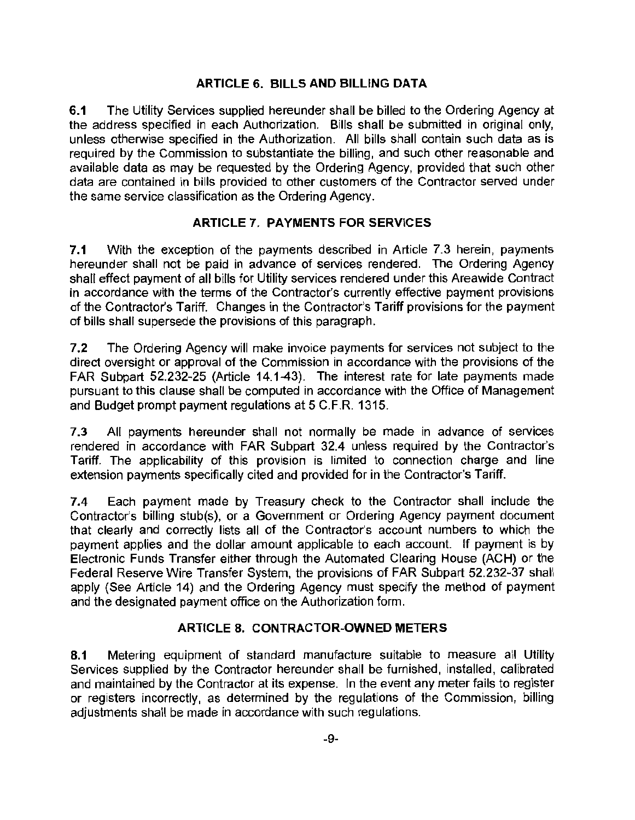## **ARTICLE 6. BILLS AND BILLING DATA**

**6.1** The Utility Services supplied hereunder shall be billed to the Ordering Agency at the address specified in each Authorization. Bills shall be submitted in original only, unless otherwise specified in the Authorization. All bills shall contain such data as is required by the Commission to substantiate the billing, and such other reasonable and available data as may be requested by the Ordering Agency, provided that such other data are contained in bills provided to other customers of the Contractor served under the same service classification as the Ordering Agency.

## **ARTICLE 7. PAYMENTS FOR SERVICES**

**7.1** With the exception of the payments described in Article 7.3 herein, payments hereunder shall not be paid in advance of services rendered. The Ordering Agency shall effect payment of all bills for Utility services rendered under this Areawide Contract in accordance with the terms of the Contractor's currently effective payment provisions of the Contractor's Tariff. Changes in the Contractor's Tariff provisions for the payment of bills shall supersede the provisions of this paragraph.

7.2 The Ordering Agency will make invoice payments for services not subject to the direct oversight or approval of the Commission in accordance with the provisions of the FAR Subpart 52.232-25 (Article 14.1-43). The interest rate for late payments made pursuant to this clause shall be computed in accordance with the Office of Management and Budget prompt payment regulations at 5 C.F.R. 1315.

7.3 All payments hereunder shall not normally be made in advance of services rendered in accordance with FAR Subpart 32.4 unless required by the Contractor's Tariff. The applicability of this provision is limited to connection charge and line extension payments specifically cited and provided for in the Contractor's Tariff.

**7.4** Each payment made by Treasury check to the Contractor shall include the Contractor's billing stub(s), or a Government or Ordering Agency payment document that clearly and correctly lists all of the Contractor's account numbers to which the payment applies and the dollar amount applicable to each account. If payment is by Electronic Funds Transfer either through the Automated Clearing House (ACH) or the Federal Reserve Wire Transfer System, the provisions of FAR Subpart 52.232-37 shall apply (See Article 14) and the Ordering Agency must specify the method of payment and the designated payment office on the Authorization form.

# **ARTICLE 8. CONTRACTOR-OWNED METERS**

**8.1** Metering equipment of standard manufacture suitable to measure all Utility Services supplied by the Contractor hereunder shall be furnished, installed, calibrated and maintained by the Contractor at its expense. In the event any meter fails to register or registers incorrectly, as determined by the regulations of the Commission, billing adjustments shall be made in accordance with such regulations.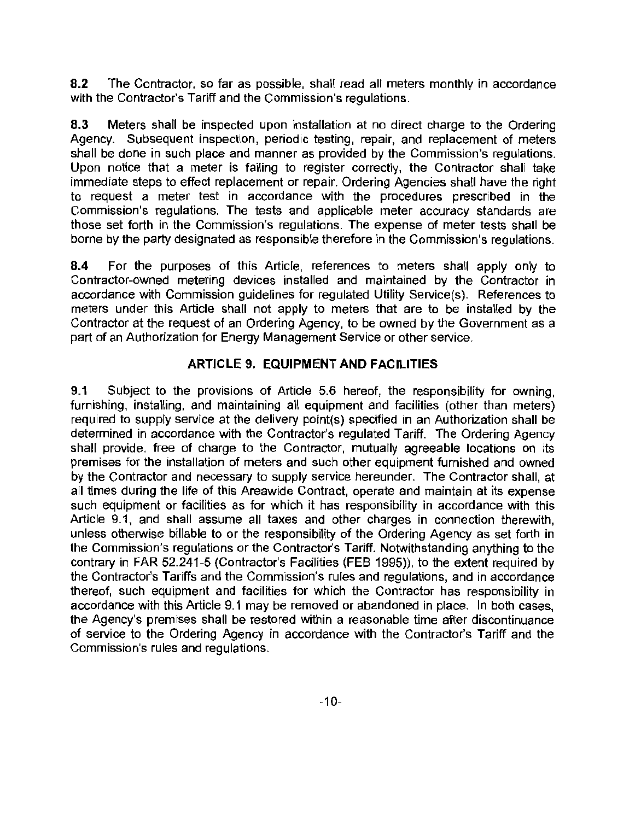8.2 The Contractor, so far as possible, shall read all meters monthly in accordance with the Contractor's Tariff and the Commission's regulations.

8.3 Meters shall be inspected upon installation at no direct charge to the Ordering Agency. Subsequent inspection, periodic testing, repair, and replacement of meters shall be done in such place and manner as provided by the Commission's regulations. Upon notice that a meter is failing to register correctly, the Contractor shall take immediate steps to effect replacement or repair. Ordering Agencies shall have the right to request a meter test in accordance with the procedures prescribed in the Commission's regulations. The tests and applicable meter accuracy standards are those set forth in the Commission's regulations. The expense of meter tests shall be borne by the party designated as responsible therefore in the Commission's regulations.

8.4 For the purposes of this Article, references to meters shall apply only to Contractor-owned metering devices installed and maintained by the Contractor in accordance with Commission guidelines for regulated Utility Service(s). References to meters under this Article shall not apply to meters that are to be installed by the Contractor at the request of an Ordering Agency, to be owned by the Government as a part of an Authorization for Energy Management Service or other service.

## ARTICLE 9. EQUIPMENT AND FACILITIES

9.1 Subject to the provisions of Article 5.6 hereof, the responsibility for owning, furnishing, installing, and maintaining all equipment and facilities (other than meters) required to supply service at the delivery point(s) specified in an Authorization shall be determined in accordance with the Contractor's regulated Tariff. The Ordering Agency shall provide, free of charge to the Contractor, mutually agreeable locations on its premises for the installation of meters and such other equipment furnished and owned by the Contractor and necessary to supply service hereunder. The Contractor shall, at all times during the life of this Areawide Contract, operate and maintain at its expense such equipment or facilities as for which it has responsibility in accordance with this Article 9.1, and shall assume all taxes and other charges in connection therewith, unless otherwise billable to or the responsibility of the Ordering Agency as set forth in the Commission's regulations or the Contractor's Tariff. Notwithstanding anything to the contrary in FAR 52.241-5 (Contractor's Facilities (FEB 1995)), to the extent required by the Contractor's Tariffs and the Commission's rules and regulations, and in accordance thereof, such equipment and facilities for which the Contractor has responsibility in accordance with this Article 9.1 may be removed or abandoned in place. In both cases, the Agency's premises shall be restored within a reasonable time after discontinuance of service to the Ordering Agency in accordance with the Contractor's Tariff and the Commission's rules and regulations.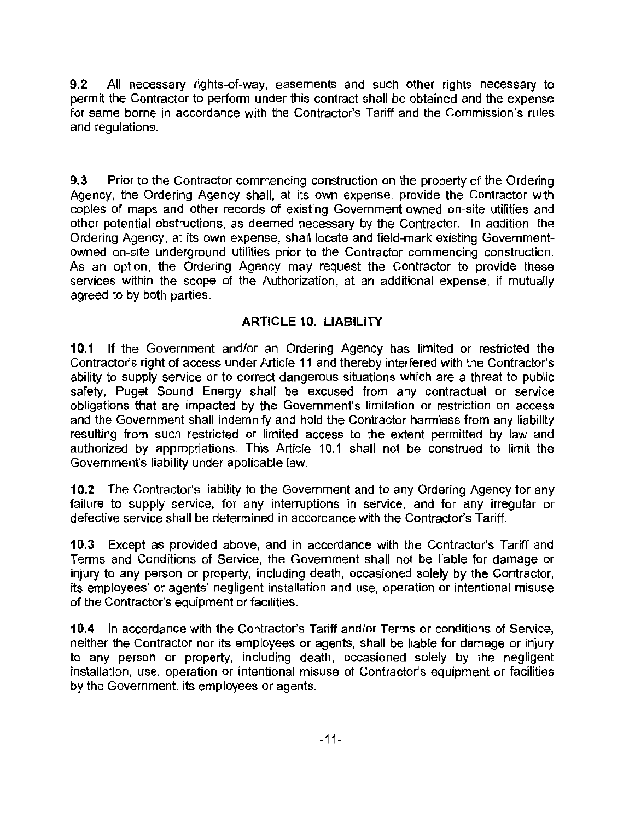9.2 All necessary rights-of-way, easements and such other rights necessary to permit the Contractor to perform under this contract shall be obtained and the expense for same borne in accordance with the Contractor's Tariff and the Commission's rules and regulations.

**9.3** Prior to the Contractor commencing construction on the property of the Ordering Agency, the Ordering Agency shall, at its own expense, provide the Contractor with copies of maps and other records of existing Government-owned on-site utilities and other potential obstructions, as deemed necessary by the Contractor. In addition, the Ordering Agency, at its own expense, shall locate and field-mark existing Governmentowned on-site underground utilities prior to the Contractor commencing construction. As an option, the Ordering Agency may request the Contractor to provide these services within the scope of the Authorization, at an additional expense, if mutually agreed to by both parties.

# **ARTICLE 10. LIABILITY**

**10.1** If the Government and/or an Ordering Agency has limited or restricted the Contractor's right of access under Article 11 and thereby interfered with the Contractor's ability to supply service or to correct dangerous situations which are a threat to public safety, Puget Sound Energy shall be excused from any contractual or service obligations that are impacted by the Government's limitation or restriction on access and the Government shall indemnify and hold the Contractor harmless from any liability resulting from such restricted or limited access to the extent permitted by law and authorized by appropriations. This Article 10.1 shall not be construed to limit the Government's liability under applicable law.

**10.2** The Contractor's liability to the Government and to any Ordering Agency for any failure to supply service, for any interruptions in service, and for any irregular or defective service shall be determined in accordance with the Contractor's Tariff.

**10.3** Except as provided above, and in accordance with the Contractor's Tariff and Terms and Conditions of Service, the Government shall not be liable for damage or injury to any person or property, including death, occasioned solely by the Contractor, its employees' or agents' negligent installation and use, operation or intentional misuse of the Contractor's equipment or facilities.

**10.4** In accordance with the Contractor's Tariff and/or Terms or conditions of Service, neither the Contractor nor its employees or agents, shall be liable for damage or injury to any person or property, including death, occasioned solely by the negligent installation, use, operation or intentional misuse of Contractor's equipment or facilities by the Government, its employees or agents.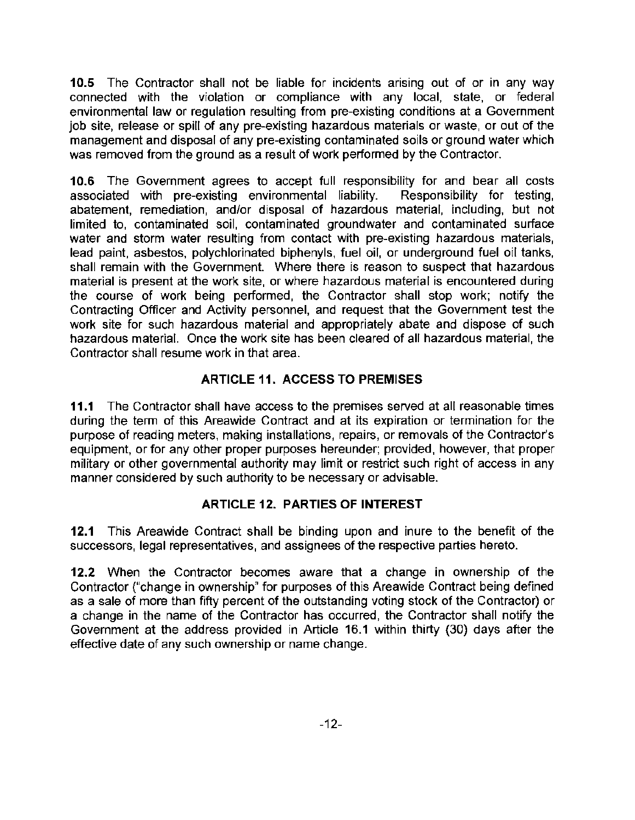10.5 The Contractor shall not be liable for incidents arising out of or in any way connected with the violation or compliance with any local, state, or federal environmental law or regulation resulting from pre-existing conditions at a Government job site, release or spill of any pre-existing hazardous materials or waste, or out of the management and disposal of any pre-existing contaminated soils or ground water which was removed from the ground as a result of work performed by the Contractor.

10.6 The Government agrees to accept full responsibility for and bear all costs<br>associated with pre-existing environmental liability. Responsibility for testing, associated with pre-existing environmental liability. abatement, remediation, and/or disposal of hazardous material, including, but not limited to, contaminated soil, contaminated groundwater and contaminated surface water and storm water resulting from contact with pre-existing hazardous materials, lead paint, asbestos, polychlorinated biphenyls, fuel oil, or underground fuel oil tanks, shall remain with the Government. Where there is reason to suspect that hazardous material is present at the work site, or where hazardous material is encountered during the course of work being performed, the Contractor shall stop work; notify the Contracting Officer and Activity personnel, and request that the Government test the work site for such hazardous material and appropriately abate and dispose of such hazardous material. Once the work site has been cleared of all hazardous material, the Contractor shall resume work in that area.

# ARTICLE 11. ACCESS TO PREMISES

11.1 The Contractor shall have access to the premises served at all reasonable times during the term of this Areawide Contract and at its expiration or termination for the purpose of reading meters, making installations, repairs, or removals of the Contractor's equipment, or for any other proper purposes hereunder; provided, however, that proper military or other governmental authority may limit or restrict such right of access in any manner considered by such authority to be necessary or advisable.

## ARTICLE 12. PARTIES OF INTEREST

12.1 This Areawide Contract shall be binding upon and inure to the benefit of the successors, legal representatives, and assignees of the respective parties hereto.

12.2 When the Contractor becomes aware that a change in ownership of the Contractor ("change in ownership" for purposes of this Areawide Contract being defined as a sale of more than fifty percent of the outstanding voting stock of the Contractor) or a change in the name of the Contractor has occurred, the Contractor shall notify the Government at the address provided in Article 16.1 within thirty (30) days after the effective date of any such ownership or name change.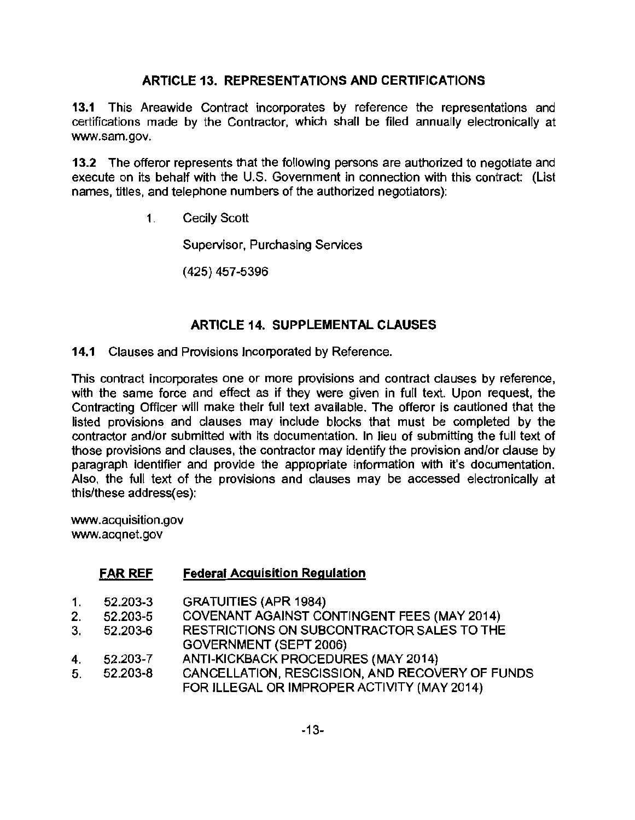# ARTICLE 13. REPRESENTATIONS AND CERTIFICATIONS

13.1 This Areawide Contract incorporates by reference the representations and certifications made by the Contractor, which shall be filed annually electronically at www.sam.gov.

13.2 The offeror represents that the following persons are authorized to negotiate and execute on its behalf with the U.S. Government in connection with this contract: (List names, titles, and telephone numbers of the authorized negotiators):

1. Cecily Scott

Supervisor, Purchasing Services

(425) 457-5396

## **ARTICLE 14. SUPPLEMENTAL CLAUSES**

14.1 Clauses and Provisions Incorporated by Reference.

This contract incorporates one or more provisions and contract clauses by reference, with the same force and effect as if they were given in full text. Upon request, the Contracting Officer will make their full text available. The offeror is cautioned that the listed provisions and clauses may include blocks that must be completed by the contractor and/or submitted with its documentation. In lieu of submitting the full text of those provisions and clauses, the contractor may identify the provision and/or clause by paragraph identifier and provide the appropriate information with it's documentation. Also, the full text of the provisions and clauses may be accessed electronically at this/these address(es):

www .acquisition.gov www.acqnet.gov

## FAR REF Federal Acquisition Regulation

- 1. 52.203-3 GRATUITIES (APR 1984)
- 2. 52.203-5 COVENANT AGAINST CONTINGENT FEES (MAY 2014)<br>3. 52.203-6 RESTRICTIONS ON SUBCONTRACTOR SALES TO THE
- 3. 52.203-6 RESTRICTIONS ON SUBCONTRACTOR SALES TO THE GOVERNMENT (SEPT 2006)
- 4. 52.203-7 ANTI-KICKBACK PROCEDURES (MAY 2014)
- 5. 52.203-8 CANCELLATION, RESCISSION, AND RECOVERY OF FUNDS FOR ILLEGAL OR IMPROPER ACTIVITY (MAY 2014)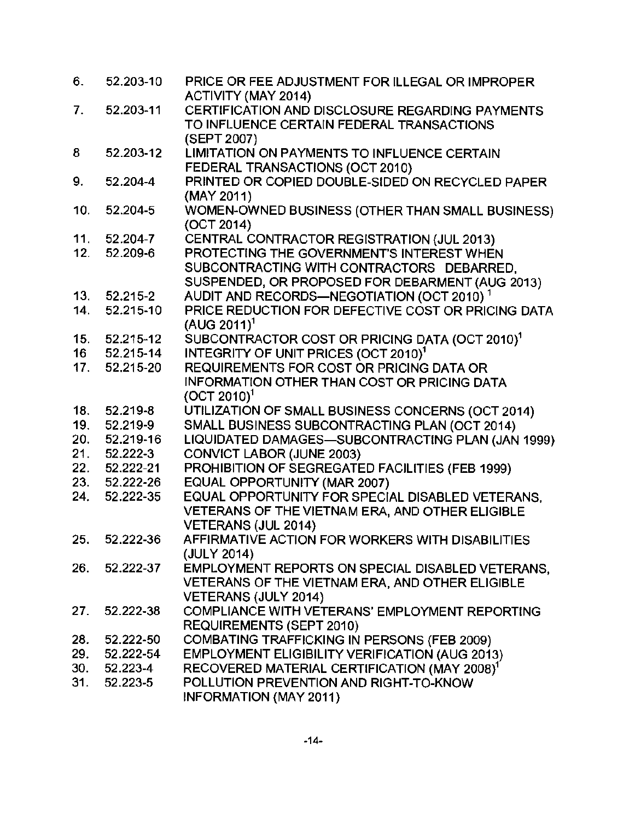| 6.  | 52.203-10     | PRICE OR FEE ADJUSTMENT FOR ILLEGAL OR IMPROPER<br><b>ACTIVITY (MAY 2014)</b>                |
|-----|---------------|----------------------------------------------------------------------------------------------|
| 7.  | 52.203-11     | CERTIFICATION AND DISCLOSURE REGARDING PAYMENTS<br>TO INFLUENCE CERTAIN FEDERAL TRANSACTIONS |
|     |               | (SEPT 2007)                                                                                  |
| 8   | 52.203-12     | LIMITATION ON PAYMENTS TO INFLUENCE CERTAIN                                                  |
|     |               | FEDERAL TRANSACTIONS (OCT 2010)                                                              |
| 9.  | 52.204-4      | PRINTED OR COPIED DOUBLE-SIDED ON RECYCLED PAPER                                             |
|     |               | (MAY 2011)                                                                                   |
| 10. | 52.204-5      | WOMEN-OWNED BUSINESS (OTHER THAN SMALL BUSINESS)<br>(OCT 2014)                               |
| 11. | 52.204-7      | CENTRAL CONTRACTOR REGISTRATION (JUL 2013)                                                   |
| 12. | 52.209-6      | PROTECTING THE GOVERNMENT'S INTEREST WHEN                                                    |
|     |               | SUBCONTRACTING WITH CONTRACTORS DEBARRED,                                                    |
|     |               | SUSPENDED, OR PROPOSED FOR DEBARMENT (AUG 2013)                                              |
| 13. | 52.215-2      | AUDIT AND RECORDS-NEGOTIATION (OCT 2010) <sup>1</sup>                                        |
| 14. | 52.215-10     | PRICE REDUCTION FOR DEFECTIVE COST OR PRICING DATA                                           |
|     |               | $(AUG 2011)^1$                                                                               |
| 15. | 52.215-12     | SUBCONTRACTOR COST OR PRICING DATA (OCT 2010) <sup>1</sup>                                   |
| 16  | 52.215-14     | INTEGRITY OF UNIT PRICES (OCT 2010) <sup>1</sup>                                             |
| 17. | 52.215-20     | <b>REQUIREMENTS FOR COST OR PRICING DATA OR</b>                                              |
|     |               | <b>INFORMATION OTHER THAN COST OR PRICING DATA</b>                                           |
|     |               | $(OCT 2010)^1$                                                                               |
| 18. | 52.219-8      | UTILIZATION OF SMALL BUSINESS CONCERNS (OCT 2014)                                            |
| 19. | 52.219-9      | SMALL BUSINESS SUBCONTRACTING PLAN (OCT 2014)                                                |
| 20. | 52.219-16     | LIQUIDATED DAMAGES-SUBCONTRACTING PLAN (JAN 1999)                                            |
| 21. | 52.222-3      | <b>CONVICT LABOR (JUNE 2003)</b>                                                             |
| 22. | 52.222-21     | PROHIBITION OF SEGREGATED FACILITIES (FEB 1999)                                              |
| 23. | 52.222-26     | EQUAL OPPORTUNITY (MAR 2007)                                                                 |
| 24. | 52.222-35     | EQUAL OPPORTUNITY FOR SPECIAL DISABLED VETERANS.                                             |
|     |               | VETERANS OF THE VIETNAM ERA, AND OTHER ELIGIBLE                                              |
|     |               | VETERANS (JUL 2014)                                                                          |
|     | 25. 52.222-36 | AFFIRMATIVE ACTION FOR WORKERS WITH DISABILITIES                                             |
|     |               | (JULY 2014)                                                                                  |
| 26. | 52.222-37     | EMPLOYMENT REPORTS ON SPECIAL DISABLED VETERANS,                                             |
|     |               | VETERANS OF THE VIETNAM ERA, AND OTHER ELIGIBLE                                              |
|     |               | <b>VETERANS (JULY 2014)</b>                                                                  |
| 27. | 52.222-38     | COMPLIANCE WITH VETERANS' EMPLOYMENT REPORTING                                               |
|     |               | <b>REQUIREMENTS (SEPT 2010)</b>                                                              |
| 28. | 52.222-50     | COMBATING TRAFFICKING IN PERSONS (FEB 2009)                                                  |
| 29. | 52.222-54     | <b>EMPLOYMENT ELIGIBILITY VERIFICATION (AUG 2013)</b>                                        |
| 30. | 52.223-4      | RECOVERED MATERIAL CERTIFICATION (MAY 2008) <sup>1</sup>                                     |
| 31. | 52.223-5      | POLLUTION PREVENTION AND RIGHT-TO-KNOW                                                       |
|     |               | INFORMATION (MAY 2011)                                                                       |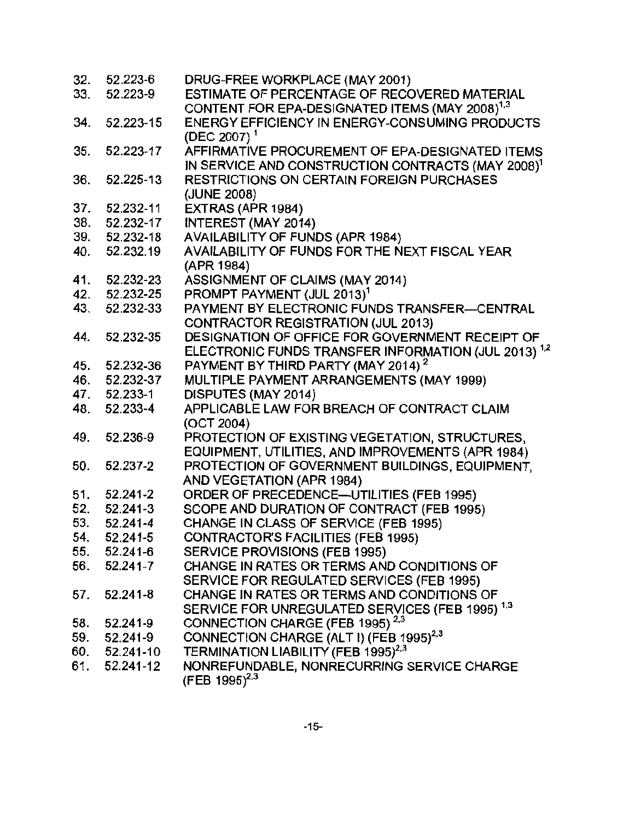| 32. | 52.223-6     | DRUG-FREE WORKPLACE (MAY 2001)                                  |
|-----|--------------|-----------------------------------------------------------------|
| 33. | 52.223-9     | ESTIMATE OF PERCENTAGE OF RECOVERED MATERIAL                    |
|     |              | CONTENT FOR EPA-DESIGNATED ITEMS (MAY 2008) <sup>1,3</sup>      |
| 34. | 52.223-15    | ENERGY EFFICIENCY IN ENERGY-CONSUMING PRODUCTS                  |
|     |              | (DEC 2007) <sup>1</sup>                                         |
| 35. | 52.223-17    | AFFIRMATIVE PROCUREMENT OF EPA-DESIGNATED ITEMS                 |
|     |              | IN SERVICE AND CONSTRUCTION CONTRACTS (MAY 2008) <sup>1</sup>   |
| 36. | 52.225-13    | RESTRICTIONS ON CERTAIN FOREIGN PURCHASES                       |
|     |              | (JUNE 2008)                                                     |
| 37. | 52.232-11    | EXTRAS (APR 1984)                                               |
| 38. | 52.232-17    | INTEREST (MAY 2014)                                             |
| 39. | 52.232-18    | AVAILABILITY OF FUNDS (APR 1984)                                |
| 40. | 52.232.19    | AVAILABILITY OF FUNDS FOR THE NEXT FISCAL YEAR                  |
|     |              | (APR 1984)                                                      |
| 41. | 52.232-23    | ASSIGNMENT OF CLAIMS (MAY 2014)                                 |
| 42. | 52.232-25    | PROMPT PAYMENT (JUL 2013) <sup>1</sup>                          |
| 43. | 52.232-33    | PAYMENT BY ELECTRONIC FUNDS TRANSFER-CENTRAL                    |
|     |              | CONTRACTOR REGISTRATION (JUL 2013)                              |
| 44. | 52.232-35    | DESIGNATION OF OFFICE FOR GOVERNMENT RECEIPT OF                 |
|     |              | ELECTRONIC FUNDS TRANSFER INFORMATION (JUL 2013) <sup>1,2</sup> |
| 45. | 52.232-36    | PAYMENT BY THIRD PARTY (MAY 2014) <sup>2</sup>                  |
| 46. | 52.232-37    | MULTIPLE PAYMENT ARRANGEMENTS (MAY 1999)                        |
| 47. | 52.233-1     | DISPUTES (MAY 2014)                                             |
| 48. | 52.233-4     | APPLICABLE LAW FOR BREACH OF CONTRACT CLAIM                     |
|     |              | (OCT 2004)                                                      |
| 49. | 52.236-9     | PROTECTION OF EXISTING VEGETATION, STRUCTURES,                  |
|     |              | EQUIPMENT, UTILITIES, AND IMPROVEMENTS (APR 1984)               |
| 50. | 52.237-2     | PROTECTION OF GOVERNMENT BUILDINGS, EQUIPMENT,                  |
|     |              | AND VEGETATION (APR 1984)                                       |
| 51. | 52.241-2     | ORDER OF PRECEDENCE-UTILITIES (FEB 1995)                        |
| 52. | 52.241-3     | SCOPE AND DURATION OF CONTRACT (FEB 1995)                       |
| 53. | 52.241-4     | CHANGE IN CLASS OF SERVICE (FEB 1995)                           |
| 54. | 52.241-5     | <b>CONTRACTOR'S FACILITIES (FEB 1995)</b>                       |
| 55. | $52.241 - 6$ | SERVICE PROVISIONS (FEB 1995)                                   |
| 56. | $52.241 - 7$ | CHANGE IN RATES OR TERMS AND CONDITIONS OF                      |
|     |              | SERVICE FOR REGULATED SERVICES (FEB 1995)                       |
| 57. | 52.241-8     | CHANGE IN RATES OR TERMS AND CONDITIONS OF                      |
|     |              | SERVICE FOR UNREGULATED SERVICES (FEB 1995) <sup>1,3</sup>      |
| 58. | 52.241-9     | CONNECTION CHARGE (FEB 1995) <sup>2,3</sup>                     |
| 59. | 52.241-9     | CONNECTION CHARGE (ALT I) (FEB 1995) <sup>2,3</sup>             |
| 60. | 52.241-10    | TERMINATION LIABILITY (FEB 1995) <sup>2,3</sup>                 |
| 61. | 52.241-12    | NONREFUNDABLE, NONRECURRING SERVICE CHARGE                      |
|     |              | (FEB 1995) <sup>2,3</sup>                                       |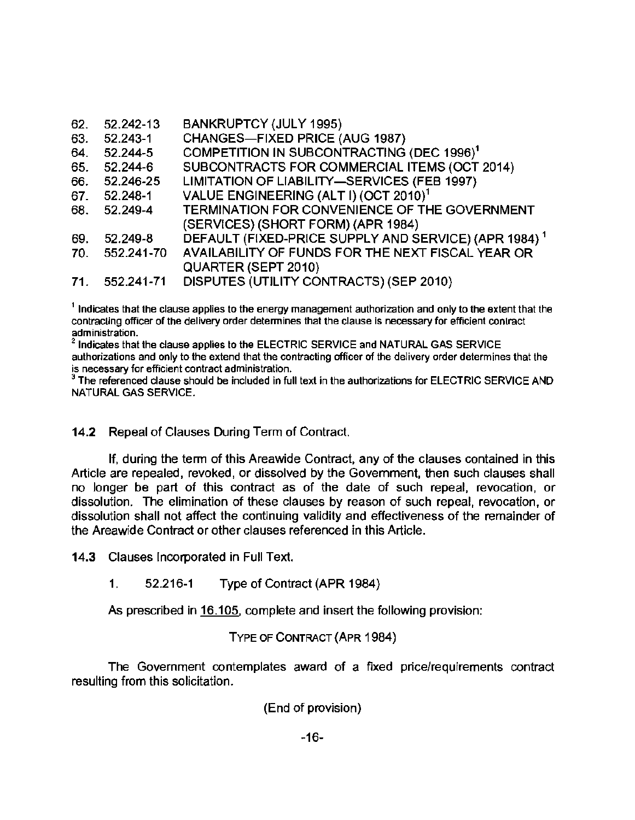| 62. | 52.242-13    | <b>BANKRUPTCY (JULY 1995)</b>                                    |
|-----|--------------|------------------------------------------------------------------|
| 63. | 52.243-1     | CHANGES-FIXED PRICE (AUG 1987)                                   |
| 64. | 52.244-5     | COMPETITION IN SUBCONTRACTING (DEC 1996) <sup>1</sup>            |
| 65. | 52.244-6     | SUBCONTRACTS FOR COMMERCIAL ITEMS (OCT 2014)                     |
| 66. | 52.246-25    | LIMITATION OF LIABILITY-SERVICES (FEB 1997)                      |
|     | 67. 52.248-1 | VALUE ENGINEERING (ALT I) (OCT 2010) <sup>1</sup>                |
| 68. | 52.249-4     | TERMINATION FOR CONVENIENCE OF THE GOVERNMENT                    |
|     |              | (SERVICES) (SHORT FORM) (APR 1984)                               |
| 69. | 52.249-8     | DEFAULT (FIXED-PRICE SUPPLY AND SERVICE) (APR 1984) <sup>1</sup> |
| 70. | 552.241-70   | AVAILABILITY OF FUNDS FOR THE NEXT FISCAL YEAR OR                |
|     |              | <b>QUARTER (SEPT 2010)</b>                                       |
| 71. | 552.241-71   | DISPUTES (UTILITY CONTRACTS) (SEP 2010)                          |

 $<sup>1</sup>$  Indicates that the clause applies to the energy management authorization and only to the extent that the</sup> contracting officer of the delivery order determines that the clause is necessary for efficient contract administration.

 $^2$  Indicates that the clause applies to the ELECTRIC SERVICE and NATURAL GAS SERVICE authorizations and only to the extend that the contracting officer of the delivery order determines that the is necessary for efficient contract administration.

<sup>3</sup> The referenced clause should be included in full text in the authorizations for ELECTRIC SERVICE AND NATURAL GAS SERVICE.

## 14.2 Repeal of Clauses During Term of Contract.

If, during the term of this Areawide Contract, any of the clauses contained in this Article are repealed, revoked, or dissolved by the Government, then such clauses shall no longer be part of this contract as of the date of such repeal, revocation, or dissolution. The elimination of these clauses by reason of such repeal, revocation, or dissolution shall not affect the continuing validity and effectiveness of the remainder of the Areawide Contract or other clauses referenced in this Article.

14.3 Clauses Incorporated in Full Text.

1. 52.216-1 Type of Contract (APR 1984)

As prescribed in 16.105, complete and insert the following provision:

TYPE OF CONTRACT (APR 1984)

The Government contemplates award of a fixed price/requirements contract resulting from this solicitation.

(End of provision)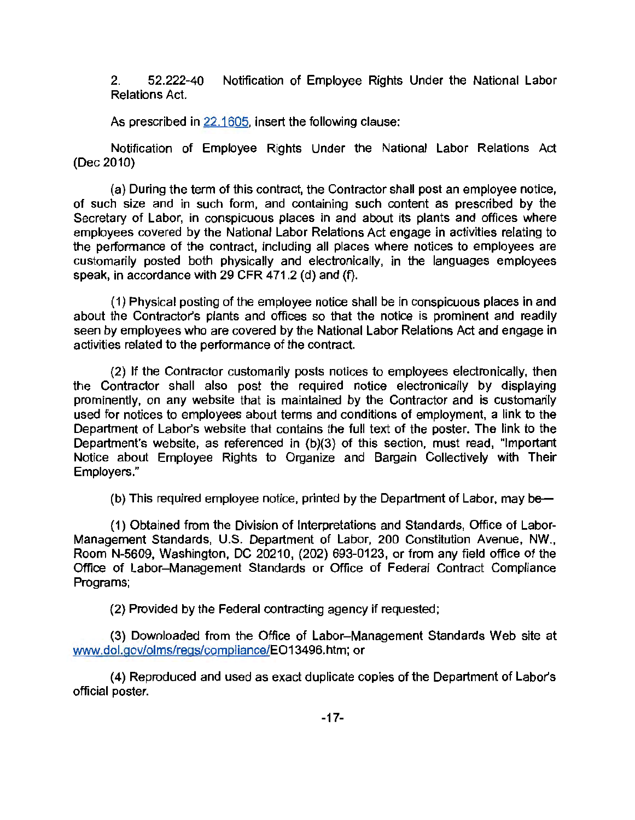2. 52.222-40 Notification of Employee Rights Under the National Labor Relations Act.

As prescribed in 22.1605, insert the following clause:

Notification of Employee Rights Under the National Labor Relations Act (Dec 2010)

(a) During the term of this contract, the Contractor shall post an employee notice, of such size and in such form, and containing such content as prescribed by the Secretary of Labor, in conspicuous places in and about its plants and offices where employees covered by the National Labor Relations Act engage in activities relating to the performance of the contract, including all places where notices to employees are customarily posted both physically and electronically, in the languages employees speak, in accordance with 29 CFR 471.2 (d) and (f).

(1) Physical posting of the employee notice shall be in conspicuous places in and about the Contractor's plants and offices so that the notice is prominent and readily seen by employees who are covered by the National Labor Relations Act and engage in activities related to the performance of the contract.

(2) If the Contractor customarily posts notices to employees electronically, then the Contractor shall also post the required notice electronically by displaying prominently, on any website that is maintained by the Contractor and is customarily used for notices to employees about terms and conditions of employment, a link to the Department of Labor's website that contains the full text of the poster. The link to the Department's website, as referenced in  $(b)(3)$  of this section, must read, "Important Notice about Employee Rights to Organize and Bargain Collectively with Their Employers."

(b) This required employee notice, printed by the Department of Labor, may be

(1) Obtained from the Division of Interpretations and Standards, Office of Labor-Management Standards, U.S. Department of Labor, 200 Constitution Avenue, NW., Room N-5609, Washington, DC 20210, (202) 693-0123, or from any field office of the Office of Labor- Management Standards or Office of Federal Contract Compliance Programs;

(2) Provided by the Federal contracting agency if requested ;

(3) Downloaded from the Office of Labor- Management Standards Web site at www.dol.gov/olms/regs/compliance/E013496.htm; or

(4) Reproduced and used as exact duplicate copies of the Department of Labor's official poster.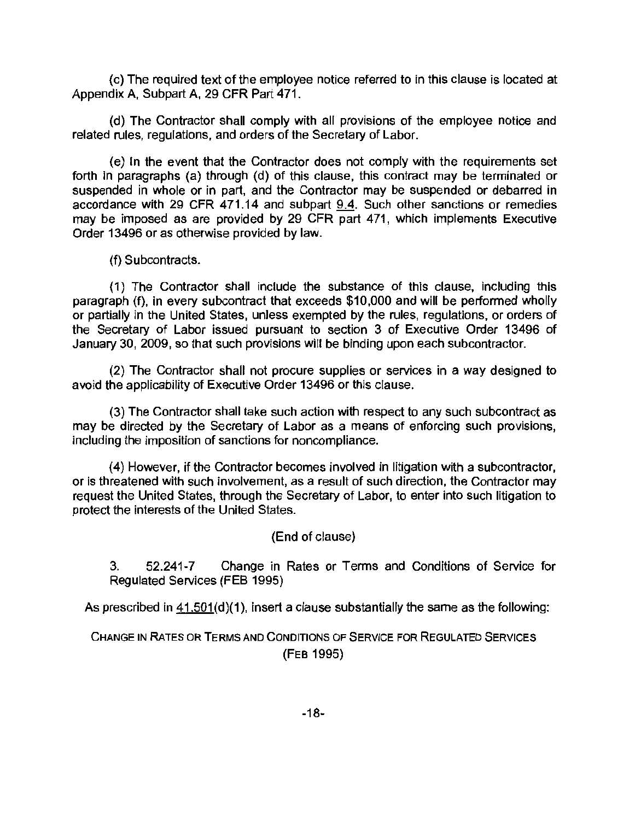(c) The required text of the employee notice referred to in this clause is located at Appendix A, Subpart A, 29 CFR Part 471 .

(d) The Contractor shall comply with all provisions of the employee notice and related rules, regulations, and orders of the Secretary of Labor.

(e) In the event that the Contractor does not comply with the requirements set forth in paragraphs (a) through (d) of this clause, this contract may be terminated or suspended in whole or in part, and the Contractor may be suspended or debarred in accordance with 29 CFR 471.14 and subpart 9.4. Such other sanctions or remedies may be imposed as are provided by 29 CFR part 471, which implements Executive Order 13496 or as otherwise provided by law.

(f) Subcontracts.

(1) The Contractor shall include the substance of this clause, including this paragraph (f), in every subcontract that exceeds \$10,000 and will be performed wholly or partially in the United States, unless exempted by the rules, regulations, or orders of the Secretary of Labor issued pursuant to section 3 of Executive Order 13496 of January 30, 2009, so that such provisions will be binding upon each subcontractor.

(2) The Contractor shall not procure supplies or services in a way designed to avoid the applicability of Executive Order 13496 or this clause.

(3) The Contractor shall take such action with respect to any such subcontract as may be directed by the Secretary of Labor as a means of enforcing such provisions, including the imposition of sanctions for noncompliance.

(4) However, if the Contractor becomes involved in litigation with a subcontractor, or is threatened with such involvement, as a result of such direction, the Contractor may request the United States, through the Secretary of Labor, to enter into such litigation to protect the interests of the United States.

(End of clause)

3. 52.241-7 Change in Rates or Terms and Conditions of Service for Regulated Services (FEB 1995)

As prescribed in 41.501(d)(1), insert a clause substantially the same as the following:

CHANGE IN RATES OR TERMS AND CONDITIONS OF SERVICE FOR REGULATED SERVICES (FEB 1995)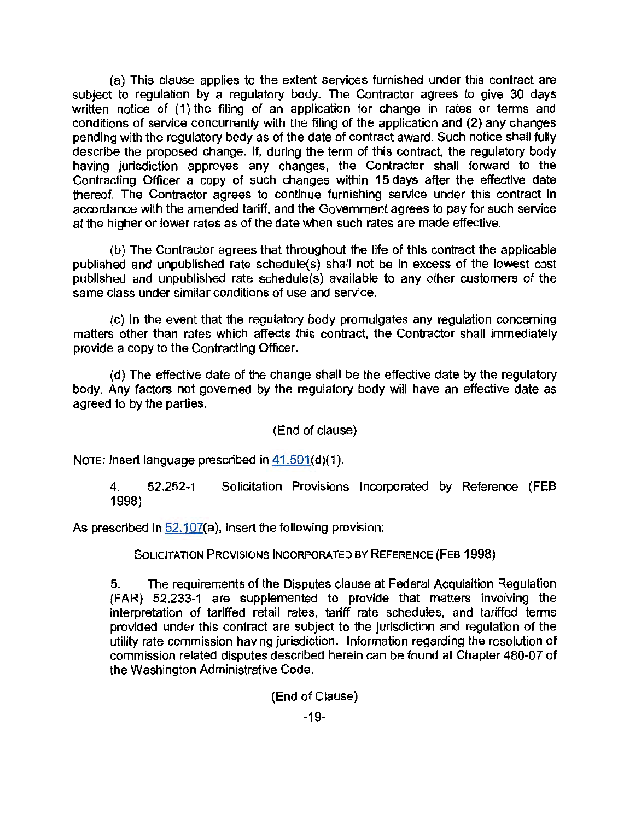(a) This clause applies to the extent services furnished under this contract are subject to regulation by a regulatory body. The Contractor agrees to give 30 days written notice of (1) the filing of an application for change in rates or terms and conditions of service concurrently with the filing of the application and (2) any changes pending with the regulatory body as of the date of contract award. Such notice shall fully describe the proposed change. If, during the term of this contract, the regulatory body having jurisdiction approves any changes, the Contractor shall forward to the Contracting Officer a copy of such changes within 15 days after the effective date thereof. The Contractor agrees to continue furnishing service under this contract in accordance with the amended tariff, and the Government agrees to pay for such service at the higher or lower rates as of the date when such rates are made effective.

(b) The Contractor agrees that throughout the life of this contract the applicable published and unpublished rate schedule(s) shall not be in excess of the lowest cost published and unpublished rate schedule(s) available to any other customers of the same class under similar conditions of use and service.

(c) In the event that the regulatory body promulgates any regulation concerning matters other than rates which affects this contract, the Contractor shall immediately provide a copy to the Contracting Officer.

(d) The effective date of the change shall be the effective date by the regulatory body. Any factors not governed by the regulatory body will have an effective date as agreed to by the parties.

(End of clause)

NOTE: Insert language prescribed in 41.501(d)(1).

4. 52.252-1 Solicitation Provisions Incorporated by Reference (FEB 1998)

As prescribed in 52.107(a), insert the following provision:

SOLICITATION PROVISIONS INCORPORATED BY REFERENCE (FEB 1998)

5. The requirements of the Disputes clause at Federal Acquisition Regulation (FAR) 52.233-1 are supplemented to provide that matters involving the interpretation of tariffed retail rates, tariff rate schedules, and tariffed terms provided under this contract are subject to the jurisdiction and regulation of the utility rate commission having jurisdiction. Information regarding the resolution of commission related disputes described herein can be found at Chapter 480-07 of the Washington Administrative Code.

(End of Clause)

 $-19-$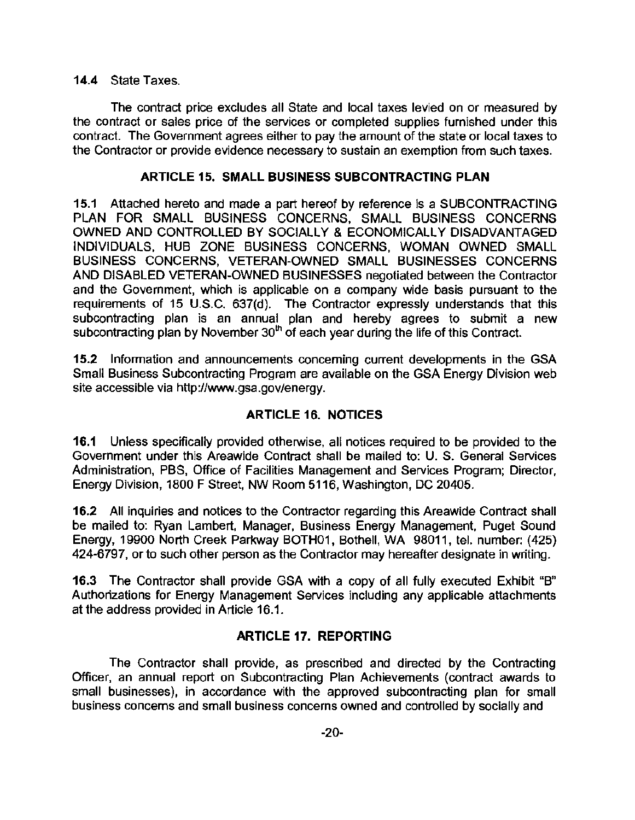#### 14.4 State Taxes.

The contract price excludes all State and local taxes levied on or measured by the contract or sales price of the services or completed supplies furnished under this contract. The Government agrees either to pay the amount of the state or local taxes to the Contractor or provide evidence necessary to sustain an exemption from such taxes.

## ARTICLE 15. SMALL BUSINESS SUBCONTRACTING PLAN

15.1 Attached hereto and made a part hereof by reference is a SUBCONTRACTING PLAN FOR SMALL BUSINESS CONCERNS, SMALL BUSINESS CONCERNS OWNED AND CONTROLLED BY SOCIALLY & ECONOMICALLY DISADVANTAGED INDIVIDUALS, HUB ZONE BUSINESS CONCERNS, WOMAN OWNED SMALL BUSINESS CONCERNS, VETERAN-OWNED SMALL BUSINESSES CONCERNS AND DISABLED VETERAN-OWNED BUSINESSES negotiated between the Contractor and the Government, which is applicable on a company wide basis pursuant to the requirements of 15 U.S.C. 637(d). The Contractor expressly understands that this subcontracting plan is an annual plan and hereby agrees to submit a new subcontracting plan by November  $30<sup>th</sup>$  of each year during the life of this Contract.

15.2 Information and announcements concerning current developments in the GSA Small Business Subcontracting Program are available on the GSA Energy Division web site accessible via http://www.gsa.gov/energy.

# ARTICLE 16. NOTICES

16.1 Unless specifically provided otherwise, all notices required to be provided to the Government under this Areawide Contract shall be mailed to: U. S. General Services Administration, PBS, Office of Facilities Management and Services Program; Director, Energy Division, 1800 F Street, NW Room 5116, Washington, DC 20405.

16.2 All inquiries and notices to the Contractor regarding this Areawide Contract shall be mailed to: Ryan Lambert, Manager, Business Energy Management, Puget Sound Energy, 19900 North Creek Parkway BOTH01, Bothell, WA 98011, tel. number: (425) 424-6797, or to such other person as the Contractor may hereafter designate in writing.

16.3 The Contractor shall provide GSA with a copy of all fully executed Exhibit "B" Authorizations for Energy Management Services including any applicable attachments at the address provided in Article 16.1.

## ARTICLE 17. REPORTING

The Contractor shall provide, as prescribed and directed by the Contracting Officer, an annual report on Subcontracting Plan Achievements (contract awards to small businesses), in accordance with the approved subcontracting plan for small business concerns and small business concerns owned and controlled by socially and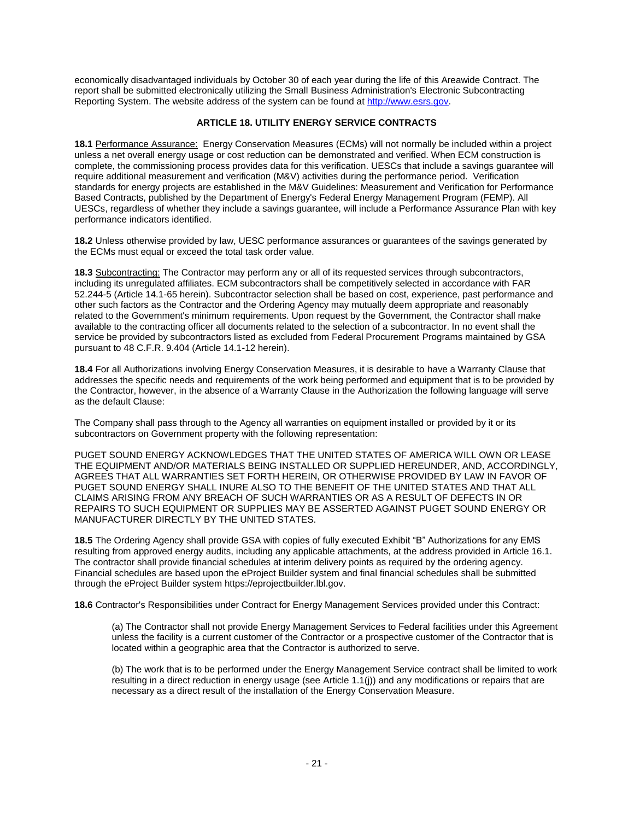economically disadvantaged individuals by October 30 of each year during the life of this Areawide Contract. The report shall be submitted electronically utilizing the Small Business Administration's Electronic Subcontracting Reporting System. The website address of the system can be found a[t http://www.esrs.gov.](http://www.esrs.gov/)

#### **ARTICLE 18. UTILITY ENERGY SERVICE CONTRACTS**

**18.1** Performance Assurance: Energy Conservation Measures (ECMs) will not normally be included within a project unless a net overall energy usage or cost reduction can be demonstrated and verified. When ECM construction is complete, the commissioning process provides data for this verification. UESCs that include a savings guarantee will require additional measurement and verification (M&V) activities during the performance period. Verification standards for energy projects are established in the M&V Guidelines: Measurement and Verification for Performance Based Contracts, published by the Department of Energy's Federal Energy Management Program (FEMP). All UESCs, regardless of whether they include a savings guarantee, will include a Performance Assurance Plan with key performance indicators identified.

**18.2** Unless otherwise provided by law, UESC performance assurances or guarantees of the savings generated by the ECMs must equal or exceed the total task order value.

**18.3** Subcontracting: The Contractor may perform any or all of its requested services through subcontractors, including its unregulated affiliates. ECM subcontractors shall be competitively selected in accordance with FAR 52.244-5 (Article 14.1-65 herein). Subcontractor selection shall be based on cost, experience, past performance and other such factors as the Contractor and the Ordering Agency may mutually deem appropriate and reasonably related to the Government's minimum requirements. Upon request by the Government, the Contractor shall make available to the contracting officer all documents related to the selection of a subcontractor. In no event shall the service be provided by subcontractors listed as excluded from Federal Procurement Programs maintained by GSA pursuant to 48 C.F.R. 9.404 (Article 14.1-12 herein).

**18.4** For all Authorizations involving Energy Conservation Measures, it is desirable to have a Warranty Clause that addresses the specific needs and requirements of the work being performed and equipment that is to be provided by the Contractor, however, in the absence of a Warranty Clause in the Authorization the following language will serve as the default Clause:

The Company shall pass through to the Agency all warranties on equipment installed or provided by it or its subcontractors on Government property with the following representation:

PUGET SOUND ENERGY ACKNOWLEDGES THAT THE UNITED STATES OF AMERICA WILL OWN OR LEASE THE EQUIPMENT AND/OR MATERIALS BEING INSTALLED OR SUPPLIED HEREUNDER, AND, ACCORDINGLY, AGREES THAT ALL WARRANTIES SET FORTH HEREIN, OR OTHERWISE PROVIDED BY LAW IN FAVOR OF PUGET SOUND ENERGY SHALL INURE ALSO TO THE BENEFIT OF THE UNITED STATES AND THAT ALL CLAIMS ARISING FROM ANY BREACH OF SUCH WARRANTIES OR AS A RESULT OF DEFECTS IN OR REPAIRS TO SUCH EQUIPMENT OR SUPPLIES MAY BE ASSERTED AGAINST PUGET SOUND ENERGY OR MANUFACTURER DIRECTLY BY THE UNITED STATES.

**18.5** The Ordering Agency shall provide GSA with copies of fully executed Exhibit "B" Authorizations for any EMS resulting from approved energy audits, including any applicable attachments, at the address provided in Article 16.1. The contractor shall provide financial schedules at interim delivery points as required by the ordering agency. Financial schedules are based upon the eProject Builder system and final financial schedules shall be submitted through the eProject Builder system https://eprojectbuilder.lbl.gov.

**18.6** Contractor's Responsibilities under Contract for Energy Management Services provided under this Contract:

(a) The Contractor shall not provide Energy Management Services to Federal facilities under this Agreement unless the facility is a current customer of the Contractor or a prospective customer of the Contractor that is located within a geographic area that the Contractor is authorized to serve.

(b) The work that is to be performed under the Energy Management Service contract shall be limited to work resulting in a direct reduction in energy usage (see Article 1.1(j)) and any modifications or repairs that are necessary as a direct result of the installation of the Energy Conservation Measure.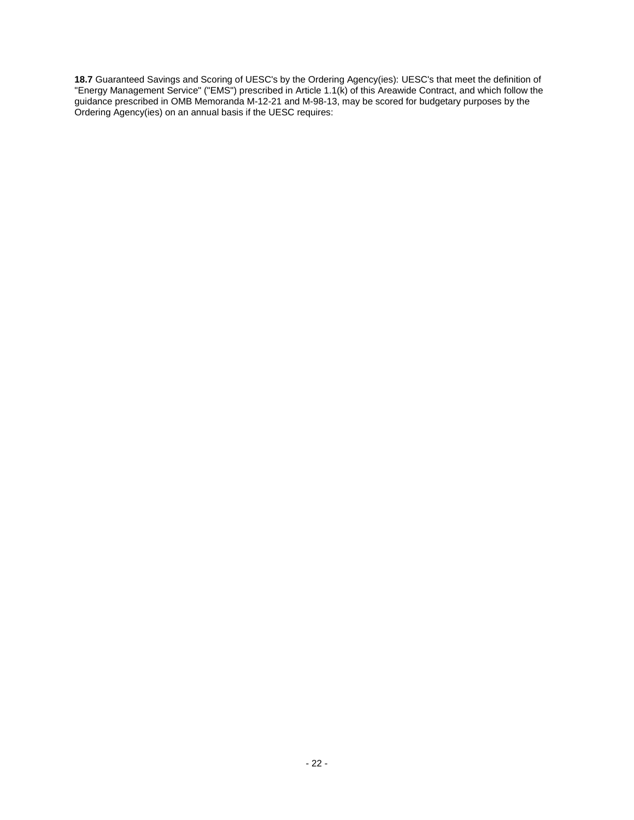**18.7** Guaranteed Savings and Scoring of UESC's by the Ordering Agency(ies): UESC's that meet the definition of "Energy Management Service" ("EMS") prescribed in Article 1.1(k) of this Areawide Contract, and which follow the guidance prescribed in OMB Memoranda M-12-21 and M-98-13, may be scored for budgetary purposes by the Ordering Agency(ies) on an annual basis if the UESC requires: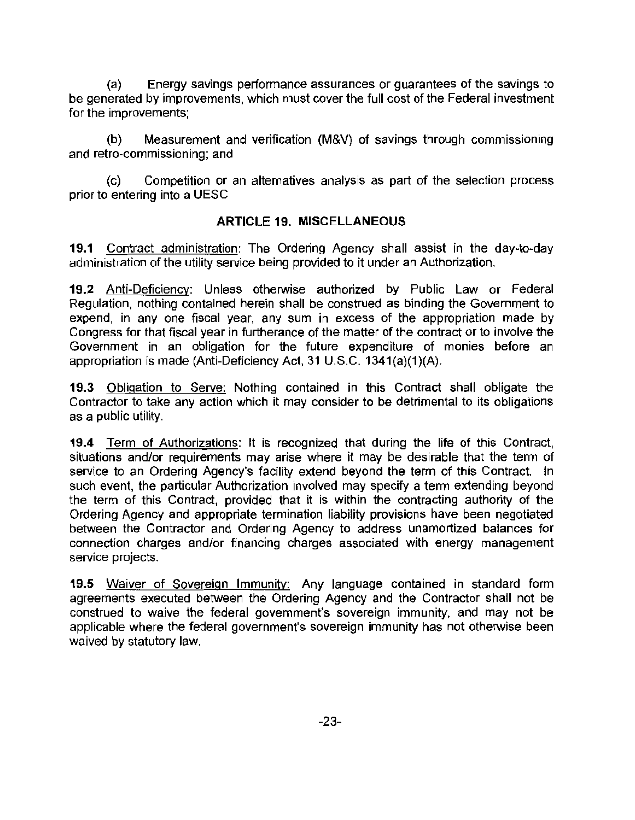(a) Energy savings performance assurances or guarantees of the savings to be generated by improvements, which must cover the full cost of the Federal investment for the improvements;

(b) Measurement and verification (M&V) of savings through commissioning and retro-commissioning; and

(c) Competition or an alternatives analysis as part of the selection process prior to entering into a UESC

## ARTICLE 19. MISCELLANEOUS

19.1 Contract administration: The Ordering Agency shall assist in the day-to-day administration of the utility service being provided to it under an Authorization.

19.2 Anti-Deficiency: Unless otherwise authorized by Public Law or Federal Regulation, nothing contained herein shall be construed as binding the Government to expend, in any one fiscal year, any sum in excess of the appropriation made by Congress for that fiscal year in furtherance of the matter of the contract or to involve the Government in an obligation for the future expenditure of monies before an appropriation is made (Anti-Deficiency Act, 31 U.S.C. 1341(a)(1)(A).

19.3 Obligation to Serve: Nothing contained in this Contract shall obligate the Contractor to take any action which it may consider to be detrimental to its obligations as a public utility.

19.4 Term of Authorizations: It is recognized that during the life of this Contract, situations and/or requirements may arise where it may be desirable that the term of service to an Ordering Agency's facility extend beyond the term of this Contract. In such event, the particular Authorization involved may specify a term extending beyond the term of this Contract, provided that it is within the contracting authority of the Ordering Agency and appropriate termination liability provisions have been negotiated between the Contractor and Ordering Agency to address unamortized balances for connection charges and/or financing charges associated with energy management service projects.

19.5 Waiver of Sovereign Immunity: Any language contained in standard form agreements executed between the Ordering Agency and the Contractor shall not be construed to waive the federal government's sovereign immunity, and may not be applicable where the federal government's sovereign immunity has not otherwise been waived by statutory law.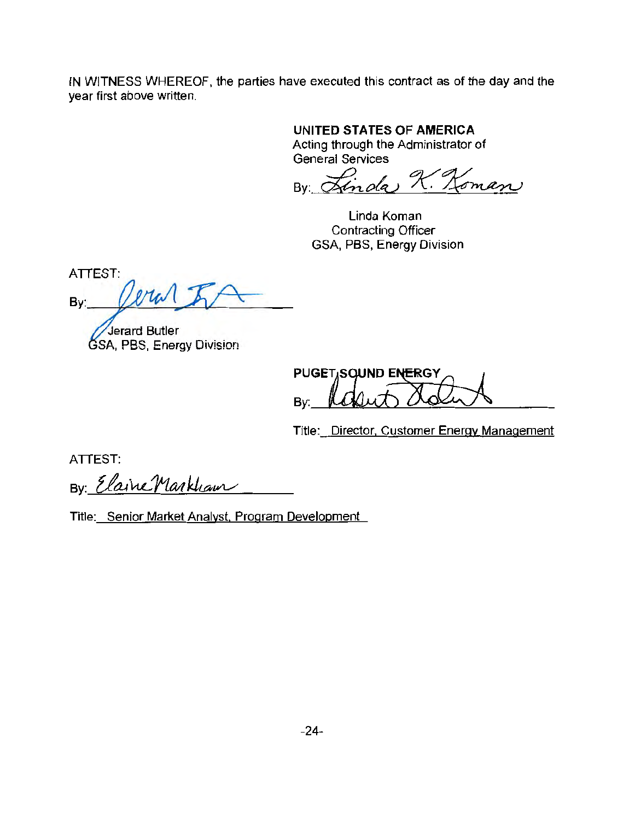IN WITNESS WHEREOF, the parties have executed this contract as of the day and the year first above written.

# **UNITED STATES OF AMERICA**

Acting through the Administrator of General Services

By Linda K. Koman

Linda Koman Contracting Officer GSA, PBS, Energy Division

**ATTEST:** Mal  $Bv$ :

Jerard Butler SA, PBS, Energy Division

PUGET, SQUND ENERGY Bv:

Title: Director, Customer Energy Management

ATTEST:

By: Elaine Markham

Title: Senior Market Analyst. Program Development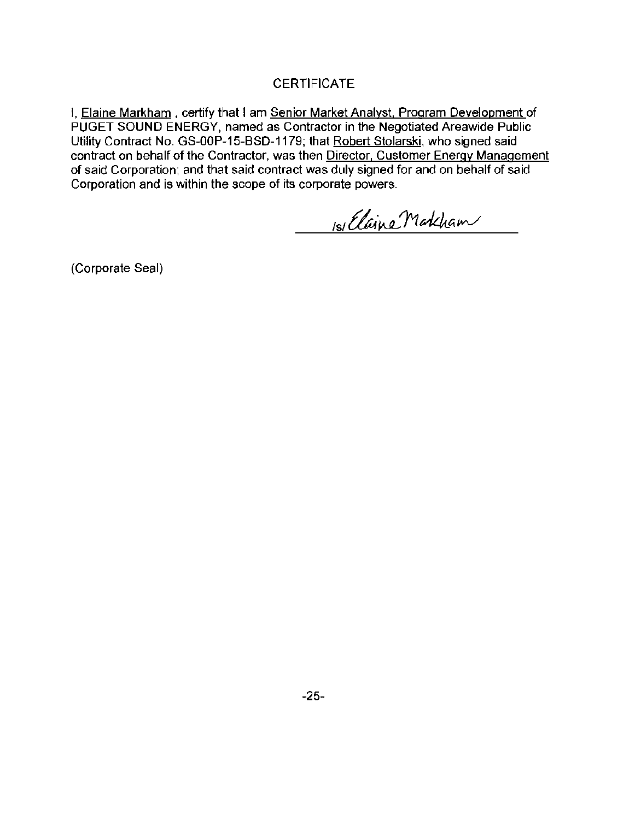## **CERTIFICATE**

I, Elaine Markham, certify that I am Senior Market Analyst, Program Development of PUGET SOUND ENERGY, named as Contractor in the Negotiated Areawide Public Utility Contract No. GS-OOP-15-BSD-1179; that Robert Stolarski, who signed said contract on behalf of the Contractor, was then Director, Customer Energy Management of said Corporation; and that said contract was duly signed for and on behalf of said Corporation and is within the scope of its corporate powers.

1s/ Elaine Markham

(Corporate Seal)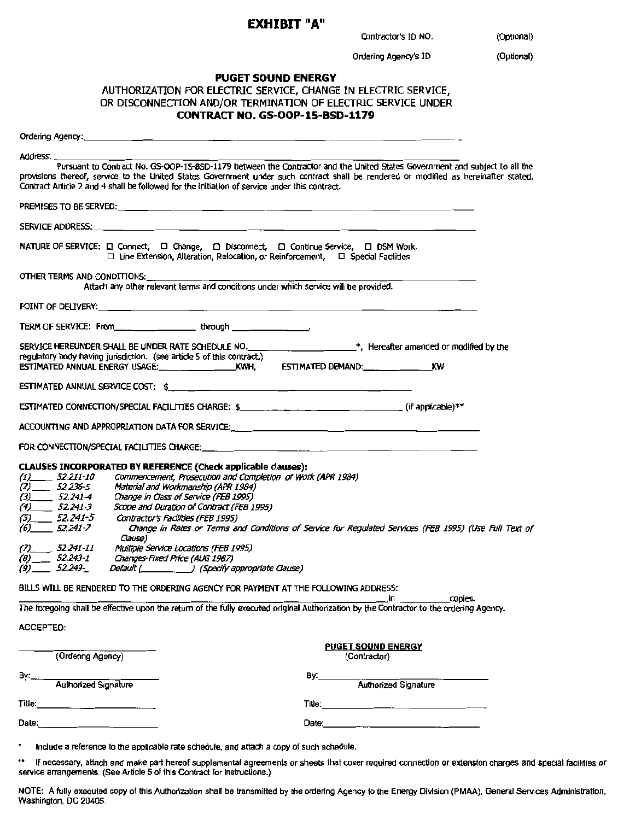# EXHIBIT "A"

Contractor's ID NO.,\_\_\_\_\_(Optional)

Ordering Agency's ID \_\_\_\_\_(Optional)

#### PUGET SOUND ENERGY

| AUTHORIZATION FOR ELECTRIC SERVICE, CHANGE IN ELECTRIC SERVICE, |
|-----------------------------------------------------------------|
| OR DISCONNECTION AND/OR TERMINATION OF ELECTRIC SERVICE UNDER   |
| <b>CONTRACT NO. GS-OOP-15-BSD-1179</b>                          |

| Address:                    |                                                                                                                                                                                                                                                                                                                                                                     |                                                                                                        |
|-----------------------------|---------------------------------------------------------------------------------------------------------------------------------------------------------------------------------------------------------------------------------------------------------------------------------------------------------------------------------------------------------------------|--------------------------------------------------------------------------------------------------------|
|                             | Pursuant to Contract No. GS-OOP-15-BSD-1179 between the Contractor and the United States Government and subject to all the<br>provisions thereof, service to the United States Government under such contract shall be rendered or modified as hereinafter stated.<br>Contract Article 2 and 4 shall be followed for the initiation of service under this contract. |                                                                                                        |
|                             |                                                                                                                                                                                                                                                                                                                                                                     |                                                                                                        |
|                             |                                                                                                                                                                                                                                                                                                                                                                     |                                                                                                        |
|                             | NATURE OF SERVICE: □ Connect, □ Change, □ Disconnect, □ Continue Service, □ DSM Work,<br>$\Box$ Line Extension, Alteration, Relocation, or Reinforcement, $\Box$ Special Facilities                                                                                                                                                                                 |                                                                                                        |
| OTHER TERMS AND CONDITIONS: | Attach any other relevant terms and conditions under which service will be provided.                                                                                                                                                                                                                                                                                |                                                                                                        |
|                             |                                                                                                                                                                                                                                                                                                                                                                     |                                                                                                        |
|                             | TERM OF SERVICE: From the state of through the state of the state of the state of the state of the state of the                                                                                                                                                                                                                                                     |                                                                                                        |
|                             | SERVICE HEREUNDER SHALL BE UNDER RATE SCHEDULE NO. ______________________*, Hereafter amended or modified by the<br>regulatory body having jurisdiction. (see article 5 of this contract.)                                                                                                                                                                          |                                                                                                        |
|                             |                                                                                                                                                                                                                                                                                                                                                                     |                                                                                                        |
|                             |                                                                                                                                                                                                                                                                                                                                                                     |                                                                                                        |
|                             |                                                                                                                                                                                                                                                                                                                                                                     |                                                                                                        |
|                             |                                                                                                                                                                                                                                                                                                                                                                     |                                                                                                        |
|                             | CLAUSES INCORPORATED BY REFERENCE (Check applicable clauses):                                                                                                                                                                                                                                                                                                       |                                                                                                        |
| $(1)$ 52.211-10             | Commencement, Prosecution and Completion of Work (APR 1984)                                                                                                                                                                                                                                                                                                         |                                                                                                        |
| $(2)$ 52.236-5              | Material and Workmanship (APR 1984)                                                                                                                                                                                                                                                                                                                                 |                                                                                                        |
| $(3)$ 52.241-4              | Change in Class of Service (FEB 1995)                                                                                                                                                                                                                                                                                                                               |                                                                                                        |
| $(4)$ 52.241-3              | Scope and Duration of Contract (FEB 1995)                                                                                                                                                                                                                                                                                                                           |                                                                                                        |
| $(5)$ 52.241-5              | Contractor's Facilities (FEB 1995)                                                                                                                                                                                                                                                                                                                                  |                                                                                                        |
| $(6)$ 52.241-7              | Clause)                                                                                                                                                                                                                                                                                                                                                             | Change in Rates or Terms and Conditions of Service for Regulated Services (FEB 1995) (Use Full Text of |
| $(7)$ 52.241-11             | Multiple Service Locations (FEB 1995)                                                                                                                                                                                                                                                                                                                               |                                                                                                        |
| $(8)$ 52.243-1              | Changes-Fixed Price (AUG 1987)                                                                                                                                                                                                                                                                                                                                      |                                                                                                        |
| $(9)$ 52.249-               | Default (Specify appropriate Clause)                                                                                                                                                                                                                                                                                                                                |                                                                                                        |
|                             | BILLS WILL BE RENDERED TO THE ORDERING AGENCY FOR PAYMENT AT THE FOLLOWING ADDRESS:                                                                                                                                                                                                                                                                                 | copies.<br>in                                                                                          |
|                             | The foregoing shall be effective upon the return of the fully executed original Authorization by the Contractor to the ordering Agency.                                                                                                                                                                                                                             |                                                                                                        |
| <b>ACCEPTED:</b>            |                                                                                                                                                                                                                                                                                                                                                                     |                                                                                                        |
| (Ordenng Agency)            |                                                                                                                                                                                                                                                                                                                                                                     | <b>PUGET SOUND ENERGY</b><br>(Contractor)                                                              |
| By:                         |                                                                                                                                                                                                                                                                                                                                                                     | By:_________                                                                                           |
| Authorized Signature        |                                                                                                                                                                                                                                                                                                                                                                     | -<br>Authorized Signature                                                                              |
|                             |                                                                                                                                                                                                                                                                                                                                                                     |                                                                                                        |
|                             |                                                                                                                                                                                                                                                                                                                                                                     |                                                                                                        |
| ٠                           | Include a reference to the applicable rate schedule, and attach a copy of such schedule.                                                                                                                                                                                                                                                                            |                                                                                                        |

•• If necessary, attach and make part hereof supplemental agreements or sheets that cover required connection or extension charges and special facilities or service arrangements. (See Article 5 of this Contract for instructions.)

NOTE: A fully executed copy of this Authorization shall be transmitted by the ordering Agency to the Energy Division (PMAA), General Services Administration, Washington, DC 20405.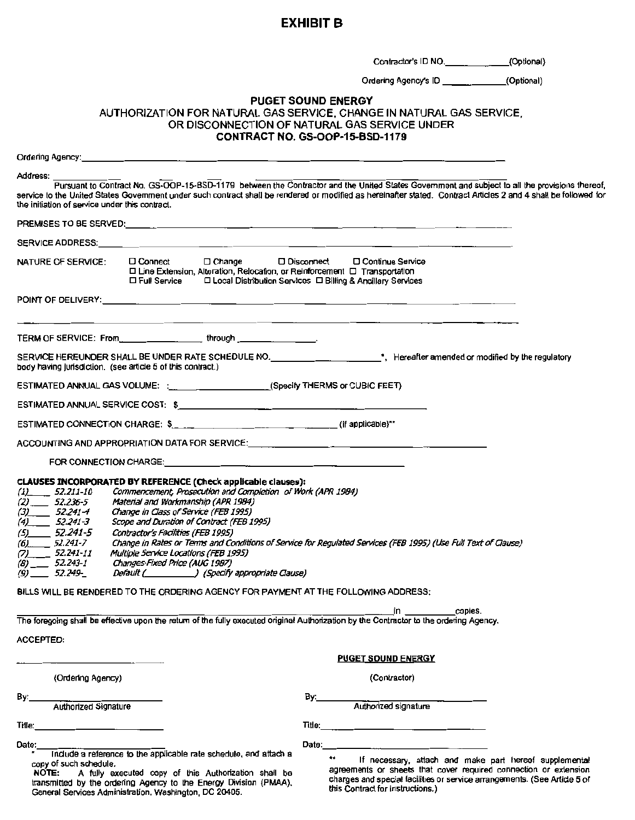# EXHIBIT B

Contractor's ID NO. \_\_\_\_\_\_\_\_\_\_\_\_(Optional)

Ordering Agency's ID \_\_\_\_\_\_\_\_\_\_\_\_\_\_\_(Optional)

#### PUGET SOUND ENERGY

#### AUTHORIZATION FOR NATURAL GAS SERVICE, CHANGE IN NATURAL GAS SERVICE, OR DISCONNECTION OF NATURAL GAS SERVICE UNDER CONTRACT NO. GS-OOP-15-BSD-1179

| Address:<br>Pursuant to Contract No. GS-OOP-15-BSD-1179 between the Contractor and the United States Government and subject to all the provisions thereof,<br>service to the United States Government under such contract shall be rendered or modified as hereinafter stated. Contract Articles 2 and 4 shall be followed for<br>the initiation of service under this contract. |                                                                                                                                                                 |                                                                                                                                                                                                                                                                                                                                                                                                                                                                                                                                                 |                                                                                      |                           |                                                                                                                            |  |
|----------------------------------------------------------------------------------------------------------------------------------------------------------------------------------------------------------------------------------------------------------------------------------------------------------------------------------------------------------------------------------|-----------------------------------------------------------------------------------------------------------------------------------------------------------------|-------------------------------------------------------------------------------------------------------------------------------------------------------------------------------------------------------------------------------------------------------------------------------------------------------------------------------------------------------------------------------------------------------------------------------------------------------------------------------------------------------------------------------------------------|--------------------------------------------------------------------------------------|---------------------------|----------------------------------------------------------------------------------------------------------------------------|--|
|                                                                                                                                                                                                                                                                                                                                                                                  |                                                                                                                                                                 |                                                                                                                                                                                                                                                                                                                                                                                                                                                                                                                                                 |                                                                                      |                           |                                                                                                                            |  |
|                                                                                                                                                                                                                                                                                                                                                                                  |                                                                                                                                                                 |                                                                                                                                                                                                                                                                                                                                                                                                                                                                                                                                                 |                                                                                      |                           |                                                                                                                            |  |
|                                                                                                                                                                                                                                                                                                                                                                                  | NATURE OF SERVICE:                                                                                                                                              | $\square$ Connect<br>$\Box$ Change<br>□ Line Extension, Alteration, Relocation, or Reinforcement □ Transportation<br>口 Full Service                                                                                                                                                                                                                                                                                                                                                                                                             | $\square$ Disconnect<br>□ Local Distribution Services □ Billing & Ancillary Services | □ Continue Service        |                                                                                                                            |  |
|                                                                                                                                                                                                                                                                                                                                                                                  |                                                                                                                                                                 |                                                                                                                                                                                                                                                                                                                                                                                                                                                                                                                                                 |                                                                                      |                           |                                                                                                                            |  |
|                                                                                                                                                                                                                                                                                                                                                                                  |                                                                                                                                                                 | TERM OF SERVICE: From _______________________through ___________________________                                                                                                                                                                                                                                                                                                                                                                                                                                                                |                                                                                      |                           |                                                                                                                            |  |
|                                                                                                                                                                                                                                                                                                                                                                                  |                                                                                                                                                                 | SERVICE HEREUNDER SHALL BE UNDER RATE SCHEDULE NO. _____________________*, Hereafter amended or modified by the regulatory<br>body having jurisdiction. (see article 5 of this contract.)                                                                                                                                                                                                                                                                                                                                                       |                                                                                      |                           |                                                                                                                            |  |
|                                                                                                                                                                                                                                                                                                                                                                                  |                                                                                                                                                                 | ESTIMATED ANNUAL GAS VOLUME: : __________________________(Specify THERMS or CUBIC FEET)                                                                                                                                                                                                                                                                                                                                                                                                                                                         |                                                                                      |                           |                                                                                                                            |  |
|                                                                                                                                                                                                                                                                                                                                                                                  |                                                                                                                                                                 |                                                                                                                                                                                                                                                                                                                                                                                                                                                                                                                                                 |                                                                                      |                           |                                                                                                                            |  |
|                                                                                                                                                                                                                                                                                                                                                                                  |                                                                                                                                                                 | ESTIMATED CONNECTION CHARGE: \$_________________________________(if applicable)**                                                                                                                                                                                                                                                                                                                                                                                                                                                               |                                                                                      |                           |                                                                                                                            |  |
|                                                                                                                                                                                                                                                                                                                                                                                  |                                                                                                                                                                 | ACCOUNTING AND APPROPRIATION DATA FOR SERVICE: __________________________________                                                                                                                                                                                                                                                                                                                                                                                                                                                               |                                                                                      |                           |                                                                                                                            |  |
|                                                                                                                                                                                                                                                                                                                                                                                  |                                                                                                                                                                 | FOR CONNECTION CHARGE: And the state of the state of the state of the state of the state of the state of the state of the state of the state of the state of the state of the state of the state of the state of the state of                                                                                                                                                                                                                                                                                                                   |                                                                                      |                           |                                                                                                                            |  |
|                                                                                                                                                                                                                                                                                                                                                                                  | $(1)$ 52.211-10<br>$(2)$ 52.236-5<br>$(3)$ 52.241-4<br>$(4)$ 52.241-3<br>$(5)$ 52.241-5<br>$(6)$ 52.241-7<br>$(7)$ 52.241-11<br>$(8)$ 52.243-1<br>$(9)$ 52.249- | <b>CLAUSES INCORPORATED BY REFERENCE (Check applicable clauses):</b><br>Commencement, Prosecution and Completion of Work (APR 1984)<br>Material and Workmanship (APR 1984)<br>Change in Class of Service (FEB 1995)<br>Scope and Duration of Contract (FEB 1995)<br>Contractor's Facilities (FEB 1995)<br>Change in Rates or Terms and Conditions of Service for Regulated Services (FEB 1995) (Use Full Text of Clause)<br>Multiple Service Locations (FEB 1995)<br>Changes-Fixed Price (AUG 1987)<br>Default ( ) (Specify appropriate Clause) |                                                                                      |                           |                                                                                                                            |  |
|                                                                                                                                                                                                                                                                                                                                                                                  |                                                                                                                                                                 | BILLS WILL BE RENDERED TO THE ORDERING AGENCY FOR PAYMENT AT THE FOLLOWING ADDRESS:                                                                                                                                                                                                                                                                                                                                                                                                                                                             |                                                                                      |                           |                                                                                                                            |  |
|                                                                                                                                                                                                                                                                                                                                                                                  |                                                                                                                                                                 | The foregoing shall be effective upon the return of the fully executed original Authorization by the Contractor to the ordering Agency.                                                                                                                                                                                                                                                                                                                                                                                                         |                                                                                      |                           | copies.<br>$\mathsf{in}$ and $\mathsf{in}$                                                                                 |  |
| <b>ACCEPTED:</b>                                                                                                                                                                                                                                                                                                                                                                 |                                                                                                                                                                 |                                                                                                                                                                                                                                                                                                                                                                                                                                                                                                                                                 |                                                                                      |                           |                                                                                                                            |  |
|                                                                                                                                                                                                                                                                                                                                                                                  |                                                                                                                                                                 |                                                                                                                                                                                                                                                                                                                                                                                                                                                                                                                                                 |                                                                                      | <b>PUGET SOUND ENERGY</b> |                                                                                                                            |  |
|                                                                                                                                                                                                                                                                                                                                                                                  | (Ordering Agency)                                                                                                                                               |                                                                                                                                                                                                                                                                                                                                                                                                                                                                                                                                                 |                                                                                      |                           | (Contractor)                                                                                                               |  |
| By:                                                                                                                                                                                                                                                                                                                                                                              |                                                                                                                                                                 |                                                                                                                                                                                                                                                                                                                                                                                                                                                                                                                                                 | By:___                                                                               |                           |                                                                                                                            |  |
|                                                                                                                                                                                                                                                                                                                                                                                  | Authorized Signature                                                                                                                                            |                                                                                                                                                                                                                                                                                                                                                                                                                                                                                                                                                 |                                                                                      |                           | Authorized signature                                                                                                       |  |
|                                                                                                                                                                                                                                                                                                                                                                                  | <b>Title:</b> Title:                                                                                                                                            |                                                                                                                                                                                                                                                                                                                                                                                                                                                                                                                                                 |                                                                                      |                           |                                                                                                                            |  |
| Date:                                                                                                                                                                                                                                                                                                                                                                            |                                                                                                                                                                 |                                                                                                                                                                                                                                                                                                                                                                                                                                                                                                                                                 |                                                                                      |                           | Date: 2008.000 and 2008.000 and 2008.000 and 2008.000 and 2008.000 and 2008.000 and 2008.000 and 2008.000 and              |  |
|                                                                                                                                                                                                                                                                                                                                                                                  | copy of such schedule.                                                                                                                                          | Include a reference to the applicable rate schedule, and attach a<br>NOTE: A fully executed copy of this Authorization shall be                                                                                                                                                                                                                                                                                                                                                                                                                 |                                                                                      | **                        | If necessary, attach and make part hereof supplemental<br>agreements or sheets that cover required connection or extension |  |

transmitted by the ordering Agency to the Energy Division (PMAA), charges and special facilities or service arrangements. (See Article 5 of transmitted by the ordering Agency to the Energy Division (PMAA), this Contract fo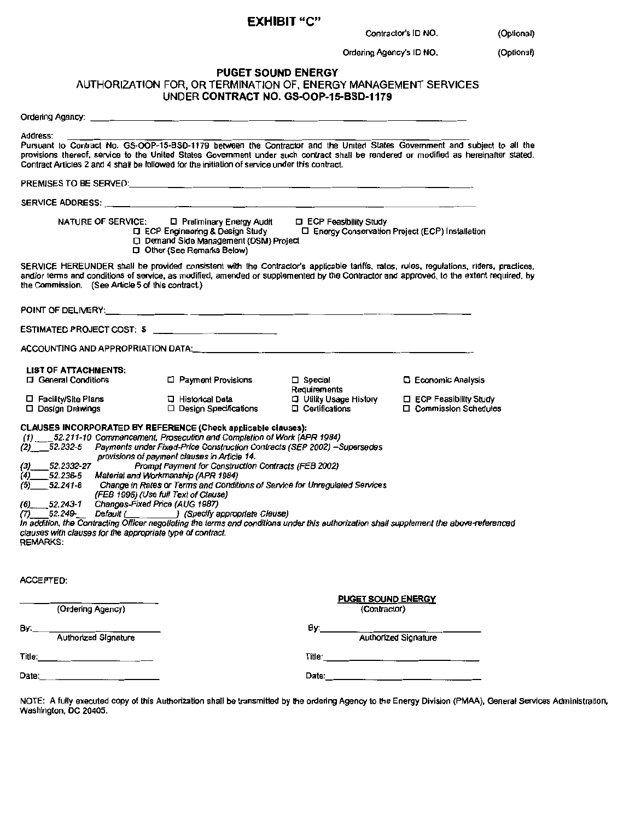#### EXHIBIT "C"

Contractor's ID NO. \_\_\_\_\_.(Optlonal)

Ordering Agency's ID NO. (Optional)

#### PUGET SOUND ENERGY AUTHORIZATION FOR, OR TERMINATION OF, ENERGY MANAGEMENT SERVICES UNDER CONTRACT NO. GS-OOP-15-BSD-1179

Ordering Agency: \_\_\_\_\_\_\_\_\_\_\_\_\_\_\_\_\_\_\_\_\_\_\_\_\_\_\_\_\_\_\_\_

Address: ----------------------- ----------- Pursuant to Contract No. GS-OOP-15-BS0-1179 between the Contractor and the United States Government and subject to all the provisions thereof. service to the United States Government under such contract shall be rendered or modified as hereinarter stated. Contract Artlcles 2 and 4 shall be followed for the initiation of service under this contract.

|                                                                                                                                                                                                                                                                                                                                                                                                                                                                                                                                                                                                                                                                                                                                                | NATURE OF SERVICE: □ Preliminary Energy Audit<br><b>Q ECP Engineering &amp; Design Study</b><br>D Demand Side Management (DSM) Project<br>D Other (See Remarks Below) | <b>Q</b> ECP Feasibility Study<br>□ Energy Conservation Project (ECP) Installation |                                                                                                                                                                                                                                                                                  |
|------------------------------------------------------------------------------------------------------------------------------------------------------------------------------------------------------------------------------------------------------------------------------------------------------------------------------------------------------------------------------------------------------------------------------------------------------------------------------------------------------------------------------------------------------------------------------------------------------------------------------------------------------------------------------------------------------------------------------------------------|-----------------------------------------------------------------------------------------------------------------------------------------------------------------------|------------------------------------------------------------------------------------|----------------------------------------------------------------------------------------------------------------------------------------------------------------------------------------------------------------------------------------------------------------------------------|
| the Commission. (See Article 5 of this contract.)                                                                                                                                                                                                                                                                                                                                                                                                                                                                                                                                                                                                                                                                                              |                                                                                                                                                                       |                                                                                    | SERVICE HEREUNDER shall be provided consistent with the Contractor's applicable tanffs, rates, rules, regulations, riders, practices,<br>and/or terms and conditions of service, as modified, amended or supplemented by the Contractor and approved, to the extent required, by |
|                                                                                                                                                                                                                                                                                                                                                                                                                                                                                                                                                                                                                                                                                                                                                |                                                                                                                                                                       |                                                                                    |                                                                                                                                                                                                                                                                                  |
|                                                                                                                                                                                                                                                                                                                                                                                                                                                                                                                                                                                                                                                                                                                                                |                                                                                                                                                                       |                                                                                    |                                                                                                                                                                                                                                                                                  |
|                                                                                                                                                                                                                                                                                                                                                                                                                                                                                                                                                                                                                                                                                                                                                |                                                                                                                                                                       |                                                                                    |                                                                                                                                                                                                                                                                                  |
| <b>LIST OF ATTACHMENTS:</b><br><b>Q</b> General Conditions                                                                                                                                                                                                                                                                                                                                                                                                                                                                                                                                                                                                                                                                                     | □ Payment Provisions                                                                                                                                                  | $\square$ Special<br>Requirements                                                  | <b>D</b> Economic Analysis                                                                                                                                                                                                                                                       |
| □ Facility/Site Plans<br>□ Design Drawings                                                                                                                                                                                                                                                                                                                                                                                                                                                                                                                                                                                                                                                                                                     | 口 Historical Data<br>$\Box$ Design Specifications                                                                                                                     | Utility Usage History<br>$\Box$ Certifications                                     | $\Box$ ECP Feasibility Study<br>$\Box$ Commission Schedules                                                                                                                                                                                                                      |
| <b>CLAUSES INCORPORATED BY REFERENCE (Check applicable clauses):</b><br>(1) 52.211-10 Commencement, Prosecution and Completion of Work (APR 1984)<br>(2) 52.232-5 Payments under Fixed-Price Construction Contracts (SEP 2002) -Supersedes<br>$(3)$ 52.2332-27<br>(4) 52.236-5 Material and Workmanship (APR 1984)<br>(5) 52.241-8 Change in Rates or Terms and Conditions of Service for Unregulated Services<br>(6) 52.243-1 Changes-Fixed Price (AUG 1987)<br>(7) 52.249 Default ( Specify appropriate Cleuse)<br>In addition, the Contracting Officer negotiating the terms and conditions under this authorization shall supplement the above-referenced<br>clauses with clauses for the appropriate type of contract.<br><b>REMARKS:</b> | provisions of payment clauses in Article 14.<br>Prompt Payment for Construction Contracts (FEB 2002)<br>(FEB 1995) (Use full Text of Clause)                          |                                                                                    |                                                                                                                                                                                                                                                                                  |
| <b>ACCEPTED:</b>                                                                                                                                                                                                                                                                                                                                                                                                                                                                                                                                                                                                                                                                                                                               |                                                                                                                                                                       |                                                                                    |                                                                                                                                                                                                                                                                                  |
| (Ordering Agency)                                                                                                                                                                                                                                                                                                                                                                                                                                                                                                                                                                                                                                                                                                                              |                                                                                                                                                                       | <b>PUGET SOUND ENERGY</b><br>(Contractor)                                          |                                                                                                                                                                                                                                                                                  |
| By:<br>Authorized Signature                                                                                                                                                                                                                                                                                                                                                                                                                                                                                                                                                                                                                                                                                                                    |                                                                                                                                                                       | By:_______                                                                         | <br>Authorized Signature                                                                                                                                                                                                                                                         |
| Title:                                                                                                                                                                                                                                                                                                                                                                                                                                                                                                                                                                                                                                                                                                                                         |                                                                                                                                                                       |                                                                                    |                                                                                                                                                                                                                                                                                  |
| Date:                                                                                                                                                                                                                                                                                                                                                                                                                                                                                                                                                                                                                                                                                                                                          |                                                                                                                                                                       | Date:                                                                              |                                                                                                                                                                                                                                                                                  |

NOTE: A fully executed copy of this Authorization shall be transmitted by the ordering Agency to the Energy Division (PMAA). General Services Administration. Washington, DC 20405.